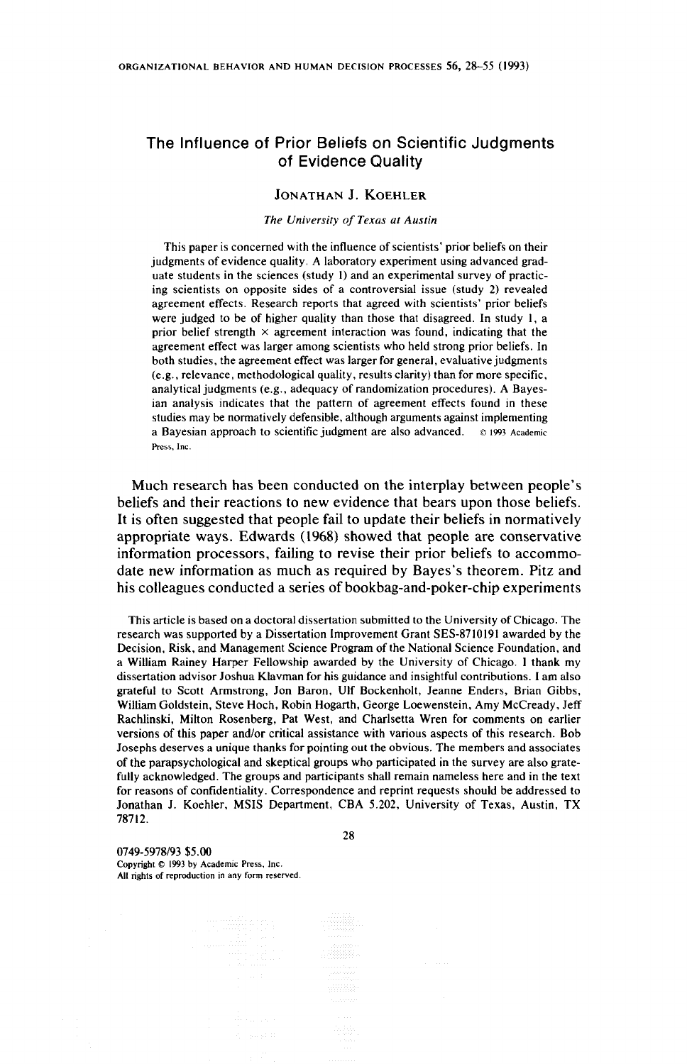# The Influence of Prior Beliefs on Scientific Judgments of Evidence Quality

### JONATHAN J. KOEHLER

#### The University of Texas at Austin

This paper is concerned with the influence of scientists' prior beliefs on their judgments of evidence quality. A laboratory experiment using advanced graduate students in the sciences (study 1) and an experimental survey of practicing scientists on opposite sides of a controversial issue (study 2) revealed agreement effects. Research reports that agreed with scientists' prior beliefs were judged to be of higher quality than those that disagreed. In study 1, a prior belief strength  $\times$  agreement interaction was found, indicating that the agreement effect was larger among scientists who held strong prior beliefs. In both studies, the agreement effect was larger for general, evaluative judgments (e.g., relevance, methodological quality, results clarity} than for more specific, analytical judgments (e.g., adequacy of randomization procedures). A Bayesian analysis indicates that the pattern of agreement effects found in these studies may be normatively defensible, although arguments against implementing a Bayesian approach to scientific judgment are also advanced. © 1993 Academic Press, Inc.

Much research has been conducted on the interplay between people's beliefs and their reactions to new evidence that bears upon those beliefs. It is often suggested that people fail to update their beliefs in normatively appropriate ways. Edwards (1968) showed that people are conservative information processors, failing to revise their prior beliefs to accommodate new information as much as required by Bayes's theorem. Pitz and his colleagues conducted a series of bookbag-and-poker-chip experiments

This article is based on a doctoral dissertation submitted to the University of Chicago. The research was supported by a Dissertation Improvement Grant SES-8710191 awarded by the Decision, Risk, and Management Science Program of the National Science Foundation, and a William Rainey Harper Fellowship awarded by the University of Chicago. ] thank my dissertation advisor Joshua Klavman for his guidance and insightful contributions. I am also grateful to Scott Armstrong, Jon Baron, Ulf Bockenholt, Jeanne Enders, Brian Gibbs, William Goldstein, Steve Hoch, Robin Hogarth, George Loewenstein, Amy McCready, Jeff Rachlinski, Milton Rosenberg, Pat West, and Charlsetta Wren for comments on earlier versions of this paper and/or critical assistance with various aspects of this research. Bob Josephs deserves a unique thanks for pointing out the obvious. The members and associates of the parapsychological and skeptical groups who participated in the survey are also gratefully acknowledged. The groups and participants shall remain nameless here and in the text for reasons of confidentiality. Correspondence and reprint requests should be addressed to Jonathan J. Koehler, MSIS Department, CBA 5.202, University of Texas, Austin, TX 78712.

28

0749-5978/93 \$5.00 Copyright © 1993 by Academic Press, Inc. All rights of reproduction in any form reserved.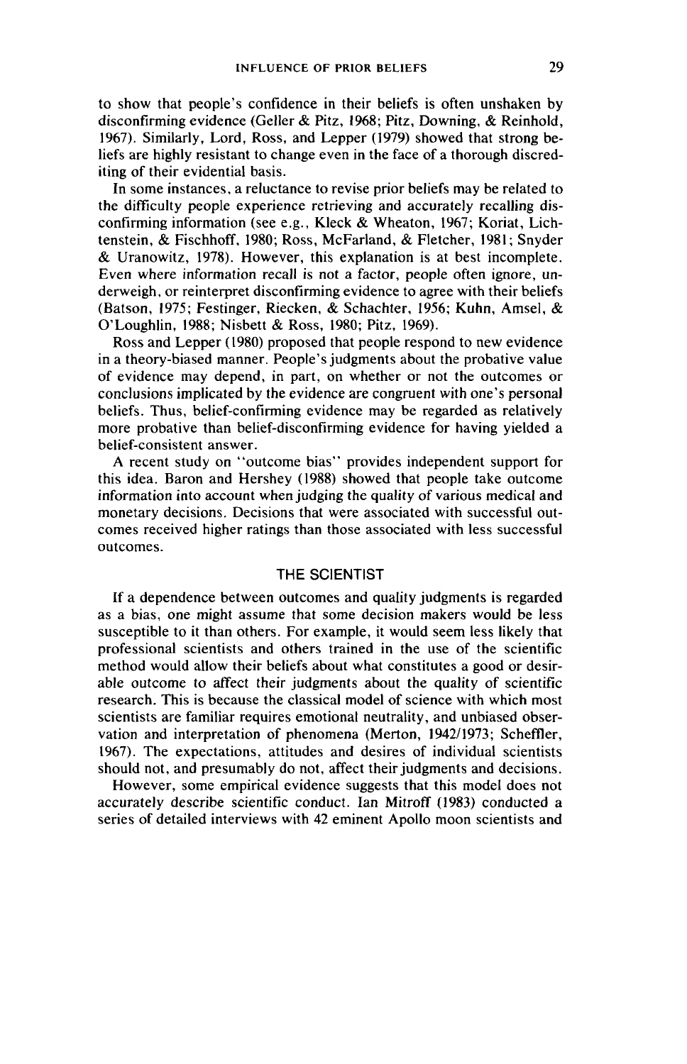to show that people's confidence in their beliefs is often unshaken by disconfirming evidence (Geller & Pitz, 1968; Pitz, Downing, & Reinhold, 1967). Similarly, Lord, Ross, and Lepper (1979) showed that strong beliefs are highly resistant to change even in the face of a thorough discrediting of their evidential basis.

In some instances, a reluctance to revise prior beliefs may be related to the difficulty people experience retrieving and accurately recalling disconfirming information (see e.g., Kleck & Wheaton, 1967; Koriat, Lichtenstein, & Fischhoff, 1980; Ross, McFarland, & Fletcher, 1981; Snyder & Uranowitz, 1978). However, this explanation is at best incomplete. Even where information recall is not a factor, people often ignore, underweigh, or reinterpret disconfirming evidence to agree with their beliefs (Batson, 1975; Festinger, Riecken, & Schachter, 1956; Kuhn, Amsel, & O' Loughlin, 1988; Nisbett & Ross, 1980; Pitz, 1969).

Ross and Lepper (1980) proposed that people respond to new evidence in a theory-biased manner. People's judgments about the probative value of evidence may depend, in part, on whether or not the outcomes or conclusions implicated by the evidence are congruent with one's personal beliefs. Thus, belief-confirming evidence may be regarded as relatively more probative than belief-disconfirming evidence for having yielded a belief-consistent answer.

A recent study on ''outcome bias'' provides independent support for this idea. Baron and Hershey (1988) showed that people take outcome information into account when judging the quality of various medical and monetary decisions. Decisions that were associated with successful outcomes received higher ratings than those associated with less successful outcomes.

## THE SCIENTIST

If a dependence between outcomes and quality judgments is regarded as a bias, one might assume that some decision makers would be less susceptible to it than others. For example, it would seem less likely that professional scientists and others trained in the use of the scientific method would allow their beliefs about what constitutes a good or desirable outcome to affect their judgments about the quality of scientific research. This is because the classical model of science with which most scientists are familiar requires emotional neutrality, and unbiased observation and interpretation of phenomena (Merton, 1942/1973; Scheffler, 1967). The expectations, attitudes and desires of individual scientists should not, and presumably do not, affect their judgments and decisions.

However, some empirical evidence suggests that this model does not accurately describe scientific conduct. Ian Mitroff (1983) conducted a series of detailed interviews with 42 eminent Apollo moon scientists and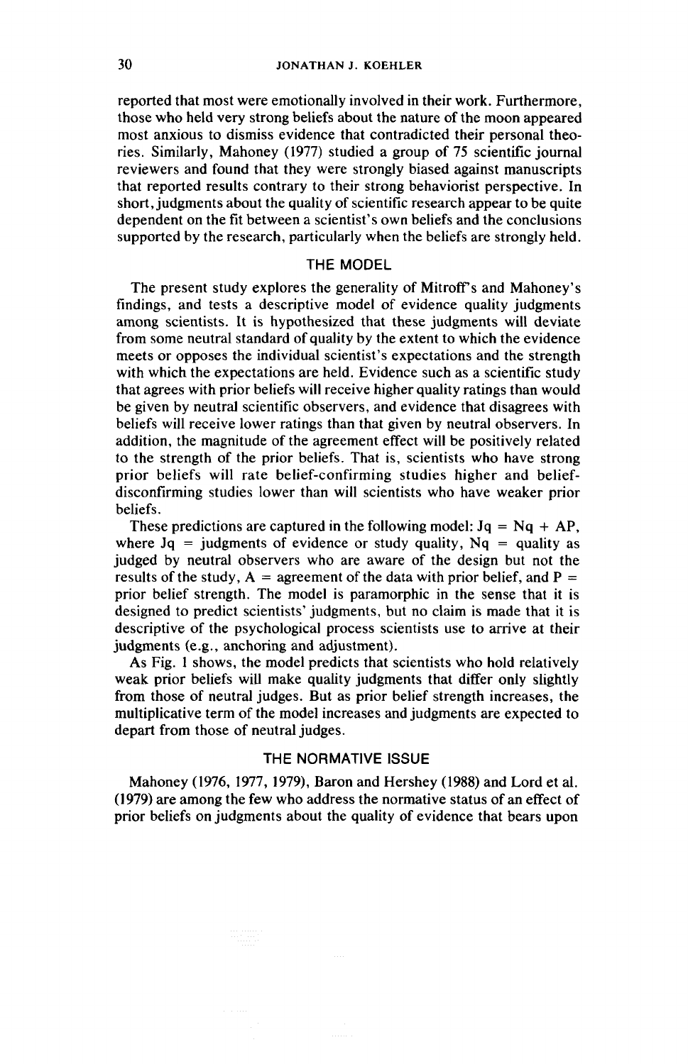reported that most were emotionally involved in their work. Furthermore, those who held very strong beliefs about the nature of the moon appeared most anxious to dismiss evidence that contradicted their personal theories. Similarly, Mahoney (1977) studied a group of 75 scientific journal reviewers and found that they were strongly biased against manuscripts that reported results contrary to their strong behaviorist perspective. In short, judgments about the quality of scientific research appear to be quite dependent on the fit between a scientist's own beliefs and the conclusions supported by the research, particularly when the beliefs are strongly held.

## THE MODEL

The present study explores the generality of Mitroff's and Mahoney's findings, and tests a descriptive model of evidence quality judgments among scientists. It is hypothesized that these judgments will deviate from some neutral standard of quality by the extent to which the evidence meets or opposes the individual scientist's expectations and the strength with which the expectations are held. Evidence such as a scientific study that agrees with prior beliefs will receive higher quality ratings than would be given by neutral scientific observers, and evidence that disagrees with beliefs will receive lower ratings than that given by neutral observers. In addition, the magnitude of the agreement effect will be positively related to the strength of the prior beliefs. That is, scientists who have strong prior beliefs will rate belief-confirming studies higher and beliefdisconfirming studies lower than will scientists who have weaker prior beliefs.

These predictions are captured in the following model:  $Jq = Nq + AP$ , where  $Jq =$  judgments of evidence or study quality,  $Nq =$  quality as judged by neutral observers who are aware of the design but not the results of the study,  $A =$  agreement of the data with prior belief, and  $P =$ prior belief strength. The model is paramorphic in the sense that it is designed to predict scientists' judgments, but no claim is made that it is descriptive of the psychological process scientists use to arrive at their judgments (e.g., anchoring and adjustment).

As Fig. 1 shows, the model predicts that scientists who hold relatively weak prior beliefs will make quality judgments that differ only slightly from those of neutral judges. But as prior belief strength increases, the multiplicative term of the model increases and judgments are expected to depart from those of neutral judges.

# THE NORMATIVE ISSUE

Mahoney (1976, 1977, 1979), Baron and Hershey (1988) and Lord et al. (1979) are among the few who address the normative status of an effect of prior beliefs on judgments about the quality of evidence that bears upon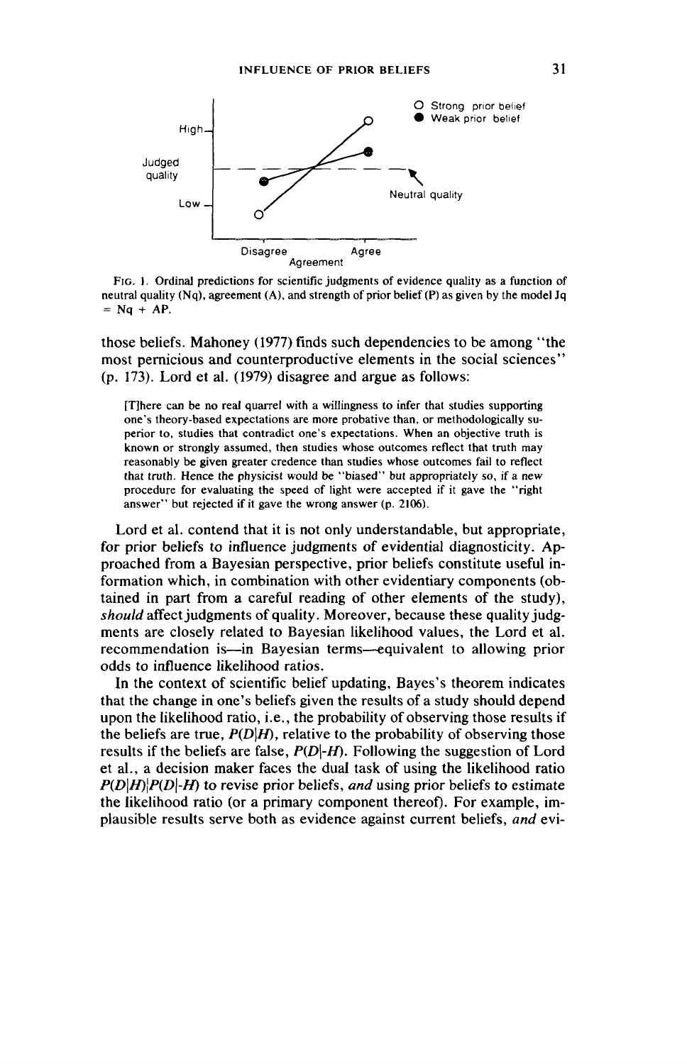

Fic. 1. Ordinal predictions for scientific judgments of evidence quality as a function of neutral quality (Nq), agreement (A), and strength of prior belief (P) as given by the model Jq  $=$  Nq + AP.

those beliefs. Mahoney (1977) finds such dependencies to be among ''the most pernicious and counterproductive elements in the social sciences"' (p. 173). Lord et al. (1979) disagree and argue as follows:

{Tihere can be no real quarre! with a willingness to infer that studies supporting one's theory-based expectations are more probative than, or methodologically superior to, studies that contradict one's expectations. When an objective truth is known or strongly assumed, then studies whose outcomes reflect that truth may reasonably be given greater credence than studies whose outcomes fail to reflect that truth. Hence the physicist would be ''biased'' but appropriately so, if a new procedure for evaluating the speed of light were accepted if it gave the ''right answer'' but rejected if it gave the wrong answer (p. 2106).

Lord et al. contend that it is not only understandable, but appropriate, for prior beliefs to influence judgments of evidential diagnosticity. Approached from a Bayesian perspective, prior beliefs constitute useful information which, in combination with other evidentiary components (obtained in part from a careful reading of other elements of the study), should affect judgments of quality. Moreover, because these quality judgments are closely related to Bayesian likelihood values, the Lord et al. recommendation is—-in Bayesian terms—equivalent to allowing prior odds to influence likelihood ratios.

In the context of scientific belief updating, Bayes's theorem indicates that the change in one's beliefs given the results of a study should depend upon the likelihood ratio, i.e., the probability of observing those results if the beliefs are true,  $P(D|H)$ , relative to the probability of observing those results if the beliefs are false,  $P(D|H)$ . Following the suggestion of Lord et al., a decision maker faces the dual task of using the likelihood ratio  $P(D|H)|P(D|-H)$  to revise prior beliefs, and using prior beliefs to estimate the likelihood ratio (or a primary component thereof). For example, implausible results serve both as evidence against current beliefs, and evi-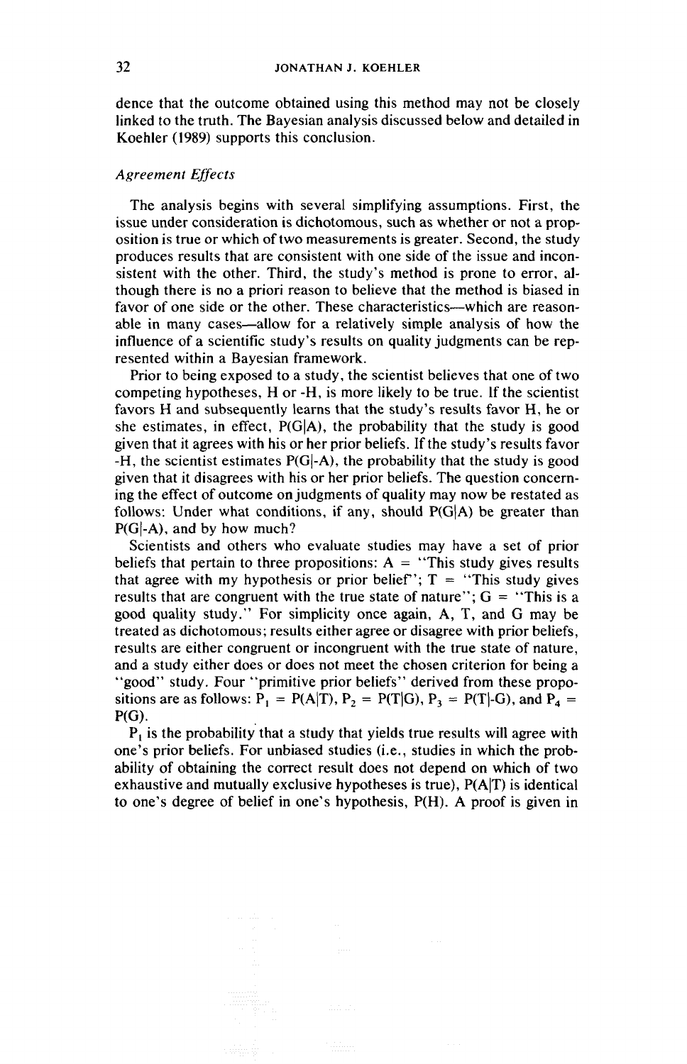dence that the outcome obtained using this method may not be closely linked to the truth. The Bayesian analysis discussed below and detailed in Koehler (1989) supports this conclusion.

## Agreement Effects

The analysis begins with several simplifying assumptions. First, the issue under consideration is dichotomous, such as whether or not a proposition is true or which of two measurements is greater. Second, the study produces results that are consistent with one side of the issue and inconsistent with the other. Third, the study's method is prone to error, although there is no a priori reason to believe that the method is biased in favor of one side or the other. These characteristics—which are reasonable in many cases—allow for a relatively simple analysis of how the influence of a scientific study's results on quality judgments can be represented within a Bayesian framework.

Prior to being exposed to a study, the scientist believes that one of two competing hypotheses, H or -H, is more likely to be true. If the scientist favors H and subsequently learns that the study's results favor H, he or she estimates, in effect,  $P(G|A)$ , the probability that the study is good given that it agrees with his or her prior beliefs. If the study's results favor -H, the scientist estimates P(G|-A), the probability that the study is good given that it disagrees with his or her prior beliefs. The question concerning the effect of outcome on judgments of quality may now be restated as follows: Under what conditions, if any, should  $P(G|A)$  be greater than  $P(G|-A)$ , and by how much?

Scientists and others who evaluate studies may have a set of prior beliefs that pertain to three propositions:  $A =$  "This study gives results" that agree with my hypothesis or prior belief";  $T =$  "This study gives results that are congruent with the true state of nature'';  $G =$  "This is a good quality study.'' For simplicity once again, A, T, and G may be treated as dichotomous; results either agree or disagree with prior beliefs, results are either congruent or incongruent with the true state of nature, and a study either does or does not meet the chosen criterion for being a "good" study. Four "primitive prior beliefs" derived from these propositions are as follows:  $P_1 = P(A|T)$ ,  $P_2 = P(T|G)$ ,  $P_3 = P(T|-G)$ , and  $P_4 =$ P(G).

 $P_1$  is the probability that a study that yields true results will agree with one's prior beliefs. For unbiased studies (i.e., studies in which the probability of obtaining the correct result does not depend on which of two exhaustive and mutually exclusive hypotheses is true), P(A|T) is identical to one's degree of belief in one's hypothesis, P(H). A proof is given in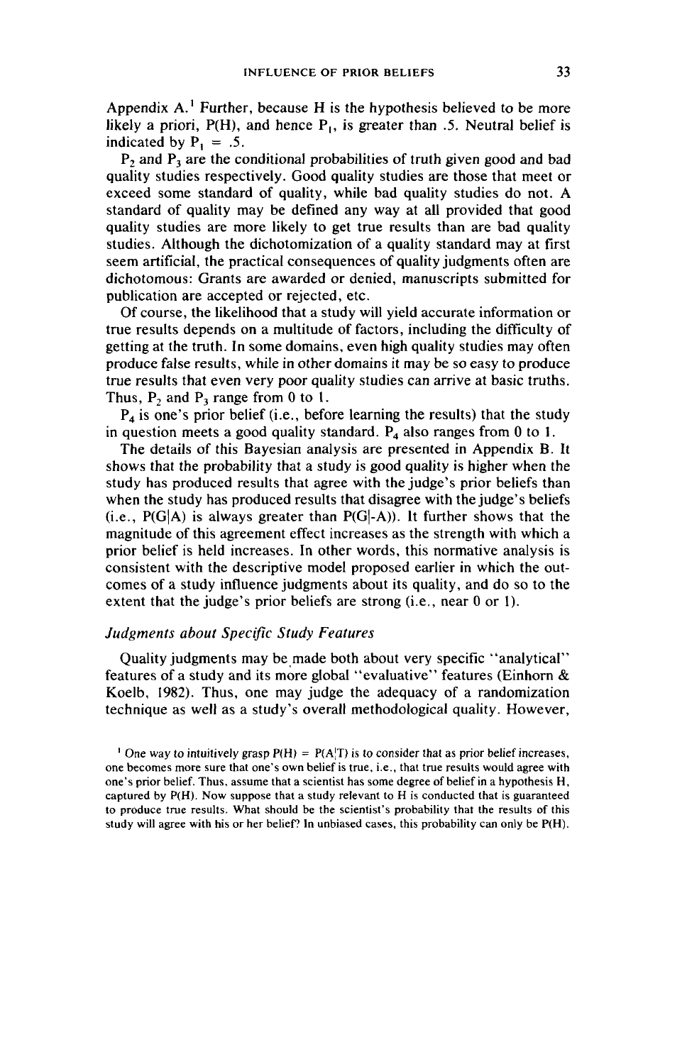Appendix  $A<sup>1</sup>$  Further, because H is the hypothesis believed to be more likely a priori,  $P(H)$ , and hence  $P<sub>1</sub>$ , is greater than .5. Neutral belief is indicated by  $P_1 = .5$ .

P, and P, are the conditional probabilities of truth given good and bad quality studies respectively. Good quality studies are those that meet or exceed some standard of quality, while bad quality studies do not. A standard of quality may be defined any way at all provided that good quality studies are more likely to get true results than are bad quality studies. Although the dichotomization of a quality standard may at first seem artificial, the practical consequences of quality judgments often are dichotomous: Grants are awarded or denied, manuscripts submitted for publication are accepted or rejected, etc.

Of course, the likelihood that a study will yield accurate information or true results depends on a multitude of factors, including the difficulty of getting at the truth. In some domains, even high quality studies may often produce false results, while in other domains it may be so easy to produce true results that even very poor quality studies can arrive at basic truths. Thus,  $P_2$  and  $P_3$  range from 0 to 1.

 $P_4$  is one's prior belief (i.e., before learning the results) that the study in question meets a good quality standard.  $P_4$  also ranges from 0 to 1.

The details of this Bayesian analysis are presented in Appendix B. It shows that the probability that a study is good quality is higher when the study has produced results that agree with the judge's prior beliefs than when the study has produced results that disagree with the judge's beliefs  $(i.e., P(G|A)$  is always greater than  $P(G|A))$ . It further shows that the magnitude of this agreement effect increases as the strength with which a prior belief is held increases. In other words, this normative analysis is consistent with the descriptive model proposed earlier in which the outcomes of a study influence judgments about its quality, and do so to the extent that the judge's prior beliefs are strong (i.e., near 0 or 1).

### Judgments about Specific Study Features

Quality judgments may be made both about very specific ''analytical"' features of a study and its more global ''evaluative'' features (Einhorn & Koelb, 1982). Thus, one may judge the adequacy of a randomization technique as well as a study's overall methodological quality. However,

<sup>1</sup> One way to intuitively grasp  $P(H) = P(A|T)$  is to consider that as prior belief increases, one becomes more sure that one's own belief is true, i.e., that true results would agree with one's prior belief. Thus, assume that a scientist has some degree of belief in a hypothesis H, captured by P(H). Now suppose that a study relevant to H is conducted that is guaranteed to produce true results. What should be the scientist's probability that the results of this study will agree with his or her belief? In unbiased cases, this probability can only be  $P(H)$ .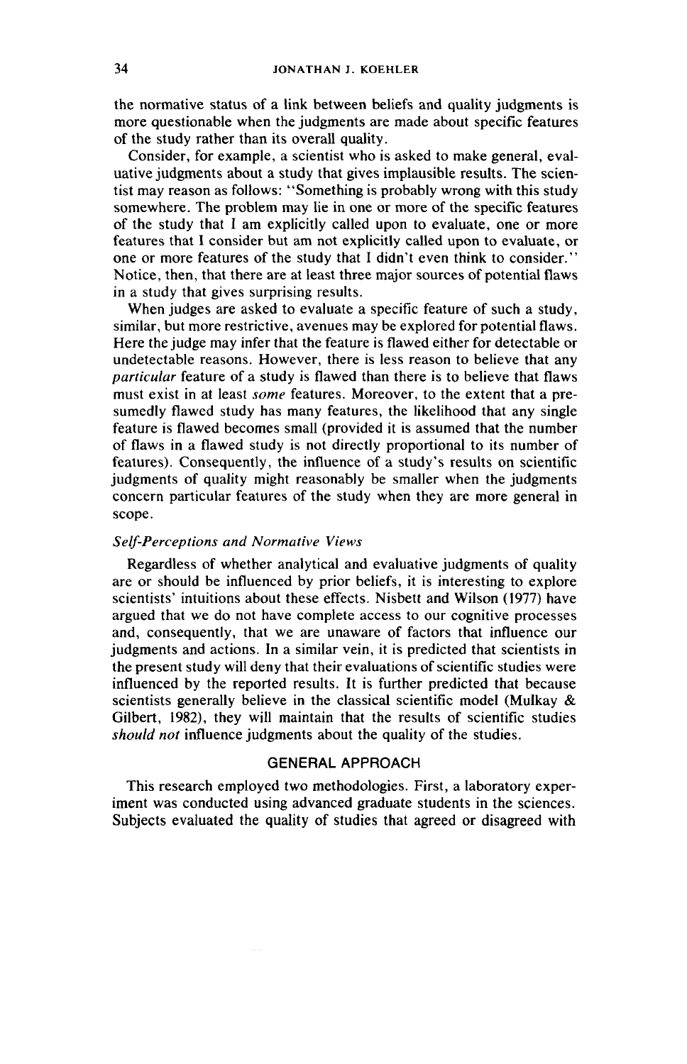the normative status of a link between beliefs and quality judgments is more questionable when the judgments are made about specific features of the study rather than its overall quality.

Consider, for example, a scientist who is asked to make general, evaluative judgments about a study that gives implausible results. The scientist may reason as follows: ''Something is probably wrong with this study somewhere. The problem may lie in one or more of the specific features of the study that I am explicitly called upon to evaluate, one or more features that I consider but am not explicitly called upon to evaluate, or one or more features of the study that I didn't even think to consider."' Notice, then, that there are at least three major sources of potential flaws in a study that gives surprising results.

When judges are asked to evaluate a specific feature of such a study, similar, but more restrictive, avenues may be explored for potential flaws. Here the judge may infer that the feature is flawed either for detectable or undetectable reasons. However, there is less reason to believe that any particular feature of a study is flawed than there is to believe that flaws must exist in at least *some* features. Moreover, to the extent that a presumedly flawed study has many features, the likelihood that any single feature is flawed becomes small (provided it is assumed that the number of flaws in a flawed study is not directly proportional to its number of features). Consequently, the influence of a study's results on scientific judgments of quality might reasonably be smaller when the judgments concern particular features of the study when they are more general in scope.

#### Self-Perceptions and Normative Views

Regardless of whether analytical and evaluative judgments of quality are or should be influenced by prior beliefs, it is interesting to explore scientists' intuitions about these effects. Nisbett and Wilson (1977) have argued that we do not have complete access to our cognitive processes and, consequently, that we are unaware of factors that influence our judgments and actions. In a similar vein, it is predicted that scientists in the present study will deny that their evaluations of scientific studies were influenced by the reported results. It is further predicted that because scientists generally believe in the classical scientific model (Mulkay & Gilbert, 1982), they will maintain that the results of scientific studies should not influence judgments about the quality of the studies.

## GENERAL APPROACH

This research employed two methodologies. First, a laboratory experiment was conducted using advanced graduate students in the sciences. Subjects evaluated the quality of studies that agreed or disagreed with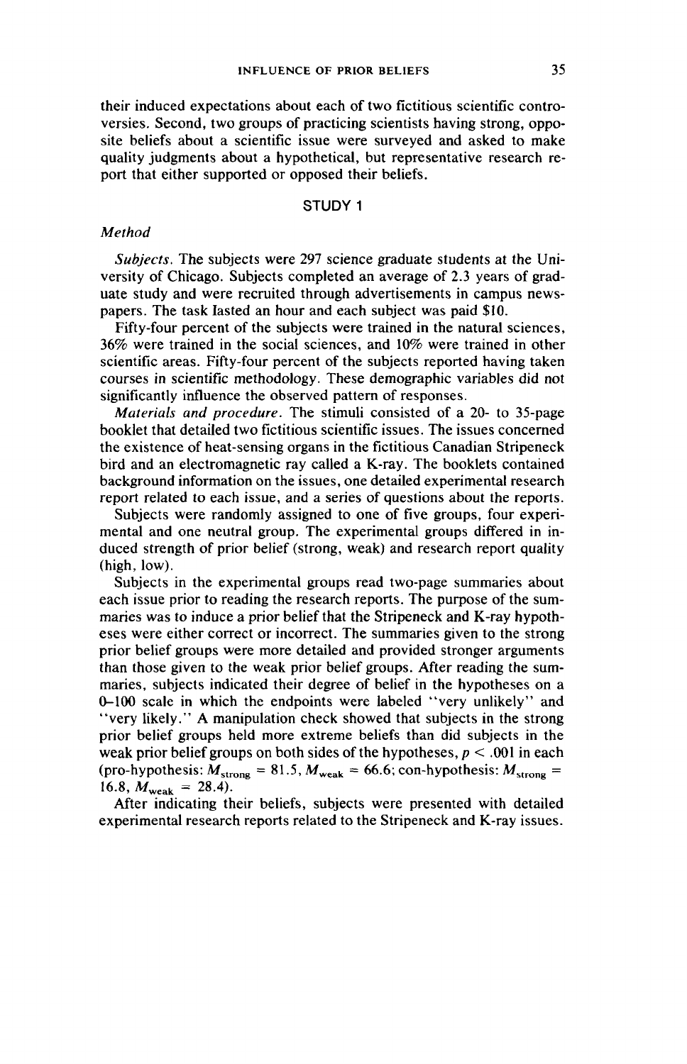their induced expectations about each of two fictitious scientific controversies. Second, two groups of practicing scientists having strong, opposite beliefs about a scientific issue were surveyed and asked to make quality judgments about a hypothetical, but representative research report that either supported or opposed their beliefs.

## STUDY 1

## Method

Subjects. The subjects were 297 science graduate students at the University of Chicago. Subjects completed an average of 2.3 years of graduate study and were recruited through advertisements in campus newspapers. The task lasted an hour and each subject was paid \$10.

Fifty-four percent of the subjects were trained in the natural sciences, 36% were trained in the social sciences, and 10% were trained in other scientific areas. Fifty-four percent of the subjects reported having taken courses in scientific methodology. These demographic variables did not significantly influence the observed pattern of responses.

Materials and procedure. The stimuli consisted of a 20- to 35-page bookiet that detailed two fictitious scientific issues. The issues concerned the existence of heat-sensing organs in the fictitious Canadian Stripeneck bird and an electromagnetic ray called a K-ray. The booklets contained background information on the issues, one detailed experimental research report related to each issue, and a series of questions about the reports.

Subjects were randomly assigned to one of five groups, four experimental and one neutral group. The experimental groups differed in induced strength of prior belief (strong, weak) and research report quality (high, low).

Subjects in the experimental groups read two-page summaries about each issue prior to reading the research reports. The purpose of the summaries was to induce a prior belief that the Stripeneck and K-ray hypotheses were either correct or incorrect. The summaries given to the strong prior belief groups were more detailed and provided stronger arguments than those given to the weak prior belief groups. After reading the summaries, subjects indicated their degree of belief in the hypotheses on a 0-100 scale in which the endpoints were labeled ''very unlikely'' and "'very likely.'" A manipulation check showed that subjects in the strong prior belief groups held more extreme beliefs than did subjects in the weak prior belief groups on both sides of the hypotheses,  $p < .001$  in each (pro-hypothesis:  $M_{\text{strong}} = 81.5$ ,  $M_{\text{weak}} = 66.6$ ; con-hypothesis:  $M_{\text{strong}} =$ 16.8,  $M_{\text{weak}} = 28.4$ .

After indicating their beliefs, subjects were presented with detailed experimental research reports related to the Stripeneck and K-ray issues.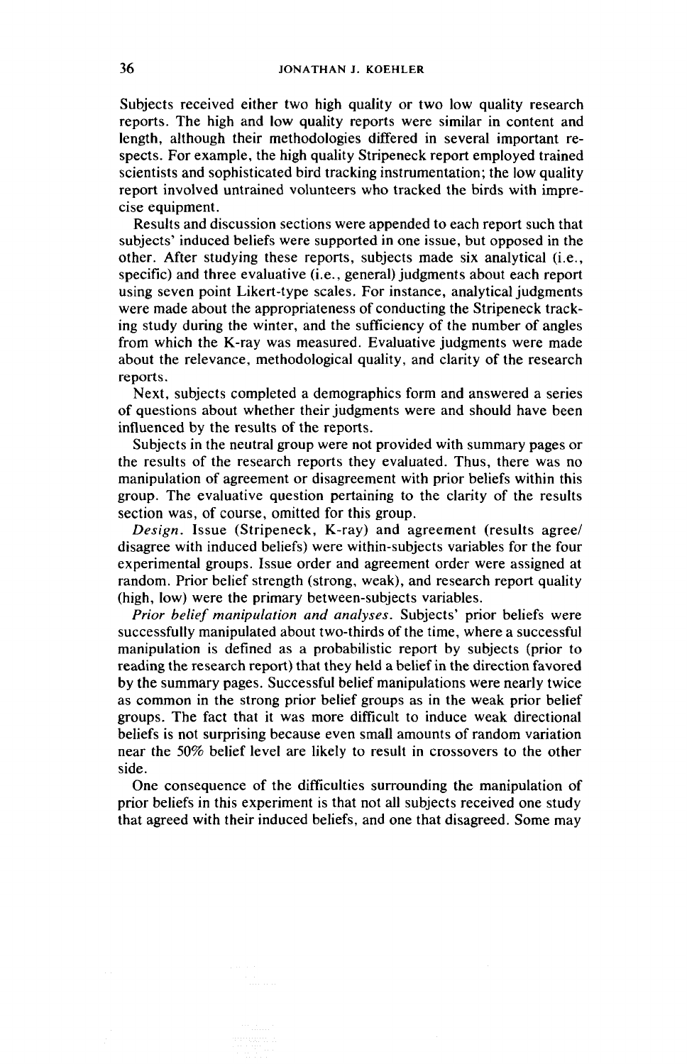Subjects received either two high quality or two low quality research reports. The high and low quality reports were similar in content and length, although their methodologies differed in several important respects. For example, the high quality Stripeneck report employed trained scientists and sophisticated bird tracking instrumentation; the low quality report involved untrained volunteers who tracked the birds with imprecise equipment.

Results and discussion sections were appended to each report such that subjects' induced beliefs were supported in one issue, but opposed in the other. After studying these reports, subjects made six analytical (i.e., specific) and three evaluative (i.e., general) judgments about each report using seven point Likert-type scales. For instance, analytical judgments were made about the appropriateness of conducting the Stripeneck tracking study during the winter, and the sufficiency of the number of angles from which the K-ray was measured. Evaluative judgments were made about the relevance, methodological quality, and clarity of the research reports.

Next, subjects completed a demographics form and answered a series of questions about whether their judgments were and should have been influenced by the results of the reports.

Subjects in the neutral group were not provided with summary pages or the results of the research reports they evaluated. Thus, there was no manipulation of agreement or disagreement with prior beliefs within this group. The evaluative question pertaining to the clarity of the results section was, of course, omitted for this group.

Design. Issue (Stripeneck, K-ray) and agreement (results agree/ disagree with induced beliefs) were within-subjects variables for the four experimental groups. Issue order and agreement order were assigned at random. Prior belief strength (strong, weak), and research report quality (high, low) were the primary between-subjects variables.

Prior belief manipulation and analyses. Subjects' prior beliefs were successfully manipulated about two-thirds of the time, where a successful manipulation is defined as a probabilistic report by subjects (prior to reading the research report) that they held a belief in the direction favored by the summary pages. Successful belief manipulations were nearly twice as common in the strong prior belief groups as in the weak prior belief groups. The fact that it was more difficult to induce weak directional beliefs is not surprising because even small amounts of random variation near the 50% belief level are likely to result in crossovers to the other side.

One consequence of the difficulties surrounding the manipulation of prior beliefs in this experiment is that not all subjects received one study that agreed with their induced beliefs, and one that disagreed. Some may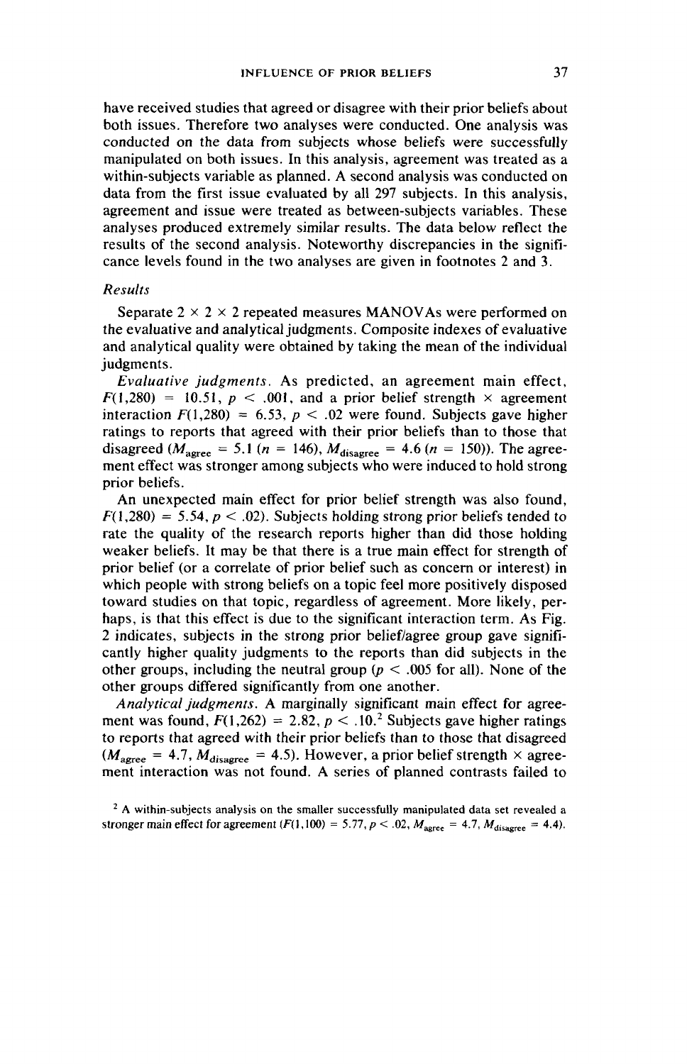have received studies that agreed or disagree with their prior beliefs about both issues. Therefore two analyses were conducted. One analysis was conducted on the data from subjects whose beliefs were successfully manipulated on both issues. In this analysis, agreement was treated as a within-subjects variable as planned. A second analysis was conducted on data from the first issue evaluated by all 297 subjects. In this analysis, agreement and issue were treated as between-subjects variables. These analyses produced extremely similar results. The data below reflect the results of the second analysis. Noteworthy discrepancies in the significance levels found in the two analyses are given in footnotes 2 and 3.

## Results

Separate  $2 \times 2 \times 2$  repeated measures MANOVAs were performed on the evaluative and analytical judgments. Composite indexes of evaluative and analytical quality were obtained by taking the mean of the individual judgments.

Evaluative judgments. As predicted, an agreement main effect,  $F(1,280) = 10.51$ ,  $p < .001$ , and a prior belief strength  $\times$  agreement interaction  $F(1,280) = 6.53$ ,  $p < .02$  were found. Subjects gave higher ratings to reports that agreed with their prior beliefs than to those that disagreed ( $M_{\text{agree}} = 5.1$  ( $n = 146$ ),  $M_{\text{disagree}} = 4.6$  ( $n = 150$ )). The agreement effect was stronger among subjects who were induced to hold strong prior beliefs.

An unexpected main effect for prior belief strength was also found,  $F(1,280) = 5.54$ ,  $p < .02$ ). Subjects holding strong prior beliefs tended to rate the quality of the research reports higher than did those holding weaker beliefs. It may be that there is a true main effect for strength of prior belief (or a correlate of prior belief such as concern or interest) in which people with strong beliefs on a topic feel more positively disposed toward studies on that topic, regardless of agreement. More likely, perhaps, is that this effect is due to the significant interaction term. As Fig. 2 indicates, subjects in the strong prior belief/agree group gave significantly higher quality judgments to the reports than did subjects in the other groups, including the neutral group ( $p < .005$  for all). None of the other groups differed significantly from one another.

Analytical judgments. A marginally significant main effect for agreement was found,  $F(1,262) = 2.82$ ,  $p < 10^2$ . Subjects gave higher ratings to reports that agreed with their prior beliefs than to those that disagreed  $(M<sub>agree</sub> = 4.7, M<sub>disagree</sub> = 4.5)$ . However, a prior belief strength  $\times$  agreement interaction was not found. A series of planned contrasts failed to

<sup>&</sup>lt;sup>2</sup> A within-subjects analysis on the smaller successfully manipulated data set revealed a stronger main effect for agreement  $(F(1,100) = 5.77, p < .02, M_{\text{agree}} = 4.7, M_{\text{disagree}} = 4.4)$ .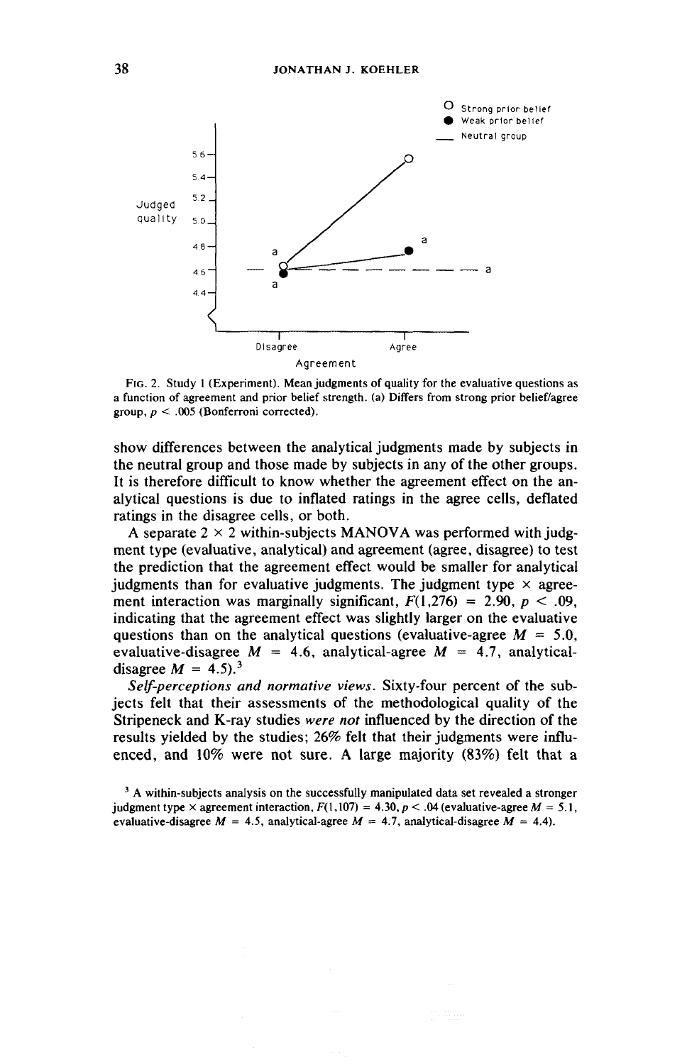

Fig. 2. Study | (Experiment). Mean judgments of quality for the evaluative questions as a function of agreement and prior belief strength. (a) Differs from strong prior belief/agree group,  $p < .005$  (Bonferroni corrected).

show differences between the analytical judgments made by subjects in the neutral group and those made by subjects in any of the other groups. It is therefore difficult to know whether the agreement effect on the analytical questions is due to inflated ratings in the agree cells, deflated ratings in the disagree cells, or both.

A separate  $2 \times 2$  within-subjects MANOVA was performed with judgment type (evaluative, analytical) and agreement (agree, disagree) to test the prediction that the agreement effect would be smaller for analytical judgments than for evaluative judgments. The judgment type  $\times$  agreement interaction was marginally significant,  $F(1,276) = 2.90$ ,  $p < .09$ . indicating that the agreement effect was slightly larger on the evaluative questions than on the analytical questions (evaluative-agree  $M = 5.0$ , evaluative-disagree  $M = 4.6$ , analytical-agree  $M = 4.7$ , analyticaldisagree  $M = 4.5$ .<sup>3</sup>

Self-perceptions and normative views. Sixty-four percent of the subjects felt that their assessments of the methodological quality of the Stripeneck and K-ray studies were not influenced by the direction of the results yielded by the studies; 26% felt that their judgments were influenced, and 10% were not sure. A large majority (83%) felt that a

<sup>&</sup>lt;sup>3</sup> A within-subjects analysis on the successfully manipulated data set revealed a stronger judgment type  $\times$  agreement interaction,  $F(1,107) = 4.30, p < .04$  (evaluative-agree  $M = 5.1$ , evaluative-disagree  $M = 4.5$ , analytical-agree  $M = 4.7$ , analytical-disagree  $M = 4.4$ ).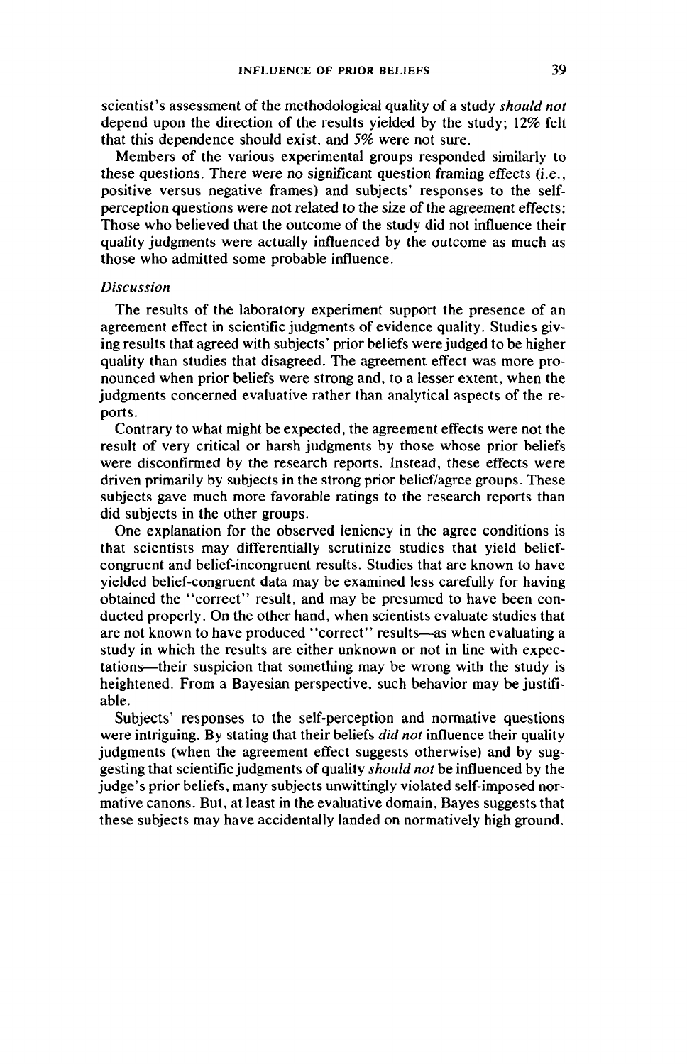scientist's assessment of the methodological quality of a study *should not* depend upon the direction of the results yielded by the study; 12% felt that this dependence should exist, and 5% were not sure.

Members of the various experimental groups responded similarly to these questions. There were no significant question framing effects (i.e., positive versus negative frames) and subjects' responses to the selfperception questions were not related to the size of the agreement effects: Those who believed that the outcome of the study did not influence their quality judgments were actually influenced by the outcome as much as those who admitted some probable influence.

## Discussion

The results of the laboratory experiment support the presence of an agreement effect in scientific judgments of evidence quality. Studies giving results that agreed with subjects' prior beliefs were judged to be higher quality than studies that disagreed. The agreement effect was more pronounced when prior beliefs were strong and, to a lesser extent, when the judgments concerned evaluative rather than analytical aspects of the reports.

Contrary to what might be expected, the agreement effects were not the result of very critical or harsh judgments by those whose prior beliefs were disconfirmed by the research reports. Instead, these effects were driven primarily by subjects in the strong prior belief/agree groups. These subjects gave much more favorable ratings to the research reports than did subjects in the other groups.

One explanation for the observed leniency in the agree conditions is that scientists may differentially scrutinize studies that yield beliefcongruent and belief-incongruent results. Studies that are known to have yielded belief-congruent data may be examined less carefully for having obtained the ''correct'' result, and may be presumed to have been conducted properly. On the other hand, when scientists evaluate studies that are not known to have produced ''correct'' results—as when evaluating a study in which the results are either unknown or not in line with expectations—their suspicion that something may be wrong with the study is heightened. From a Bayesian perspective, such behavior may be justifiable.

Subjects' responses to the self-perception and normative questions were intriguing. By stating that their beliefs *did not* influence their quality judgments (when the agreement effect suggests otherwise) and by suggesting that scientific judgments of quality should not be influenced by the judge's prior beliefs, many subjects unwittingly violated self-imposed normative canons. But, at least in the evaluative domain, Bayes suggests that these subjects may have accidentally landed on normatively high ground.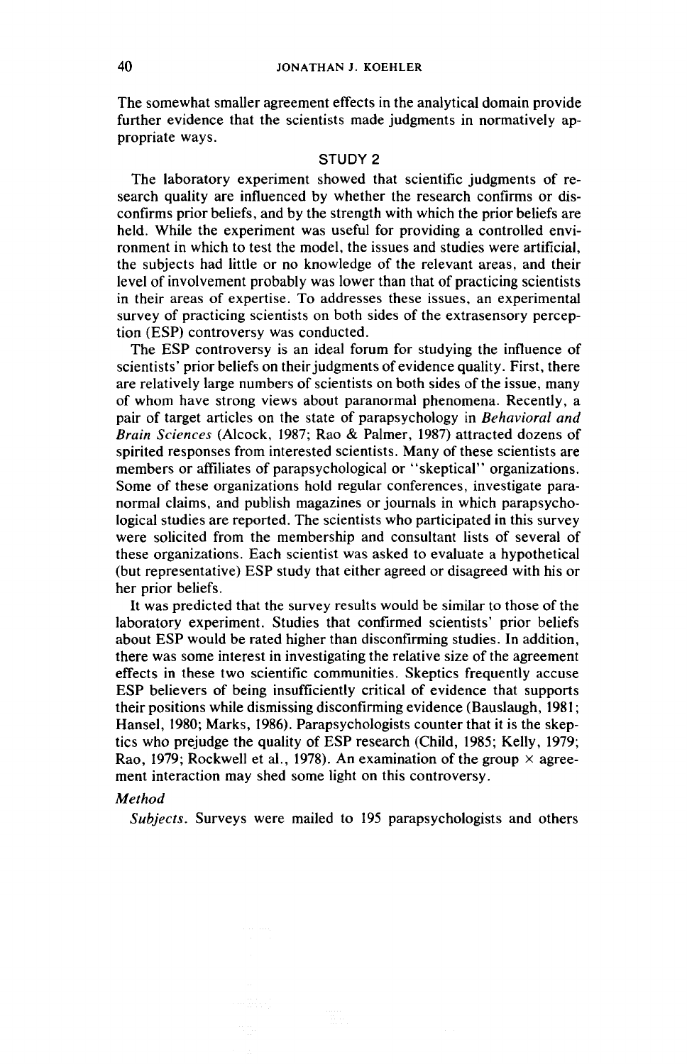The somewhat smaller agreement effects in the analytical domain provide further evidence that the scientists made judgments in normatively appropriate ways.

### STUDY 2

The laboratory experiment showed that scientific judgments of research quality are influenced by whether the research confirms or disconfirms prior beliefs, and by the strength with which the prior beliefs are held. While the experiment was useful for providing a controlled environment in which to test the model, the issues and studies were artificial, the subjects had little or no knowledge of the relevant areas, and their level of involvement probably was lower than that of practicing scientists in their areas of expertise. To addresses these issues, an experimental survey of practicing scientists on both sides of the extrasensory perception (ESP) controversy was conducted.

The ESP controversy is an ideal forum for studying the influence of scientists' prior beliefs on their judgments of evidence quality. First, there are relatively large numbers of scientists on both sides of the issue, many of whom have strong views about paranormal phenomena. Recently, a pair of target articles on the state of parapsychology in Behavioral and Brain Sciences (Alcock, 1987; Rao & Palmer, 1987) attracted dozens of spirited responses from interested scientists. Many of these scientists are members or affiliates of parapsychological or ''skeptical'' organizations. Some of these organizations hold regular conferences, investigate paranormal claims, and publish magazines or journals in which parapsychological studies are reported. The scientists who participated in this survey were solicited from the membership and consultant lists of several of these organizations. Each scientist was asked to evaluate a hypothetical (but representative) ESP study that either agreed or disagreed with his or her prior beliefs.

It was predicted that the survey results would be similar to those of the laboratory experiment. Studies that confirmed scientists' prior beliefs about ESP would be rated higher than disconfirming studies. In addition, there was some interest in investigating the relative size of the agreement effects in these two scientific communities. Skeptics frequently accuse ESP believers of being insufficiently critical of evidence that supports their positions while dismissing disconfirming evidence (Bauslaugh, 1981; Hansel, 1980; Marks, 1986). Parapsychologists counter that it is the skeptics who prejudge the quality of ESP research (Child, 1985; Kelly, 1979; Rao, 1979; Rockwell et al., 1978). An examination of the group  $\times$  agreement interaction may shed some light on this controversy.

## Method

Subjects. Surveys were mailed to 195 parapsychologists and others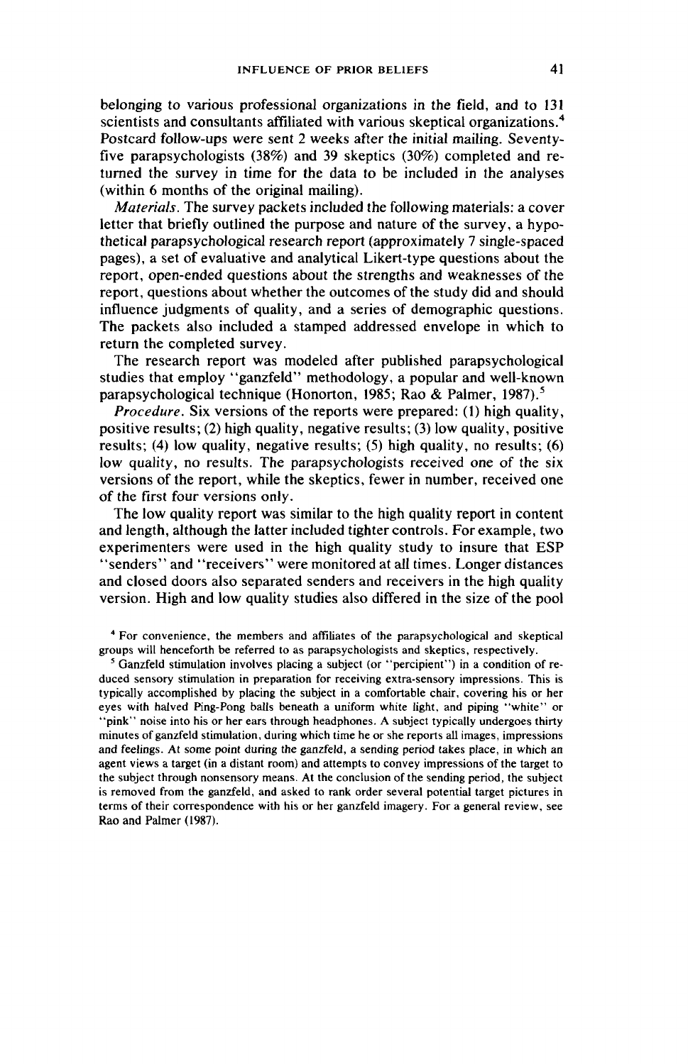belonging to various professional organizations in the field, and to 131 scientists and consultants affiliated with various skeptical organizations.<sup>4</sup> Postcard follow-ups were sent 2 weeks after the initial mailing. Seventyfive parapsychologists (38%) and 39 skeptics (30%) completed and returned the survey in time for the data to be included in the analyses (within 6 months of the original mailing).

Materials. The survey packets included the following materials: a cover letter that briefly outlined the purpose and nature of the survey, a hypothetical parapsychological research report (approximately 7 single-spaced pages), a set of evaluative and analytical Likert-type questions about the report, open-ended questions about the strengths and weaknesses of the report, questions about whether the outcomes of the study did and should influence judgments of quality, and a series of demographic questions. The packets also included a stamped addressed envelope in which to return the completed survey.

The research report was modeled after published parapsychological studies that employ ''ganzfeld'' methodology, a popular and well-known parapsychological technique (Honorton, 1985; Rao & Palmer, 1987).°

Procedure. Six versions of the reports were prepared: (1) high quality, positive results; (2) high quality, negative results; (3) low quality, positive results; (4) low quality, negative results; (5) high quality, no results; (6) low quality, no results. The parapsychologists received one of the six versions of the report, while the skeptics, fewer in number, received one of the first four versions only.

The low quality report was similar to the high quality report in content and length, although the latter included tighter controls. For example, two experimenters were used in the high quality study to insure that ESP \*\*senders'' and '"'receivers'' were monitored at all times. Longer distances and closed doors also separated senders and receivers in the high quality version. High and low quality studies also differed in the size of the pool

\* For convenience, the members and affiliates of the parapsychological and skeptical groups will henceforth be referred to as parapsychologists and skeptics, respectively.

> Ganzfeld stimulation involves placing a subject (or ''percipient'') in a condition of reduced sensory stimulation in preparation for receiving extra-sensory impressions. This is typically accomplished by placing the subject in a comfortable chair, covering his or her eyes with halved Ping-Pong balls beneath a uniform white light, and piping ''white'' or ''pink'' noise into his or her ears through headphones. A subject typically undergoes thirty minutes of ganzfeld stimulation, during which time he or she reports all images, impressions and feelings. At some point during the ganzfeld, a sending period takes place, in which an agent views a target (in a distant room) and attempts to convey impressions of the target to the subject through nonsensory means. At the conclusion of the sending period, the subject is removed from the ganzfeld, and asked to rank order several potential target pictures in terms of their correspondence with his or her ganzfeld imagery. For a general review, see Rao and Palmer (1987).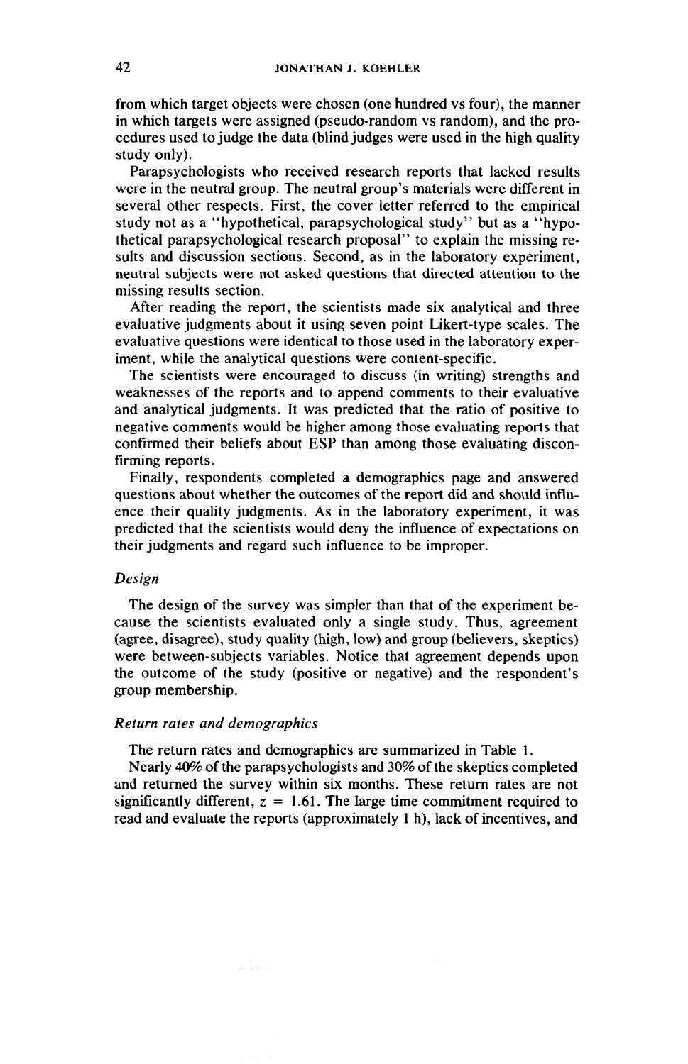from which target objects were chosen (one hundred vs four), the manner in which targets were assigned (pseudo-random vs random), and the procedures used to judge the data (blind judges were used in the high quality study only).

Parapsychologists who received research reports that lacked results were in the neutral group. The neutral group's materials were different in several other respects. First, the cover letter referred to the empirical study not as a ''hypothetical, parapsychological study'' but as a ''hypothetical parapsychological research proposal'' to explain the missing results and discussion sections. Second, as in the laboratory experiment, neutral subjects were not asked questions that directed attention to the missing results section.

After reading the report, the scientists made six analytical and three evaluative judgments about it using seven point Likert-type scales. The evaluative questions were identical to those used in the laboratory experiment, while the analytical questions were content-specific.

The scientists were encouraged to discuss (in writing) strengths and weaknesses of the reports and to append comments to their evaluative and analytical judgments. It was predicted that the ratio of positive to negative comments would be higher among those evaluating reports that confirmed their beliefs about ESP than among those evaluating disconfirming reports.

Finally, respondents completed a demographics page and answered questions about whether the outcomes of the report did and should influence their quality judgments. As in the laboratory experiment, it was predicted that the scientists would deny the influence of expectations on their judgments and regard such influence to be improper.

### Design

The design of the survey was simpler than that of the experiment because the scientists evaluated only a single study. Thus, agreement (agree, disagree), study quality (high, low) and group (believers, skeptics) were between-subjects variables. Notice that agreement depends upon the outcome of the study (positive or negative) and the respondent's group membership.

#### Return rates and demographics

The return rates and demographics are summarized in Table 1.

Nearly 40% of the parapsychologists and 30% of the skeptics completed and returned the survey within six months. These return rates are not significantly different,  $z = 1.61$ . The large time commitment required to read and evaluate the reports (approximately 1 h), lack of incentives, and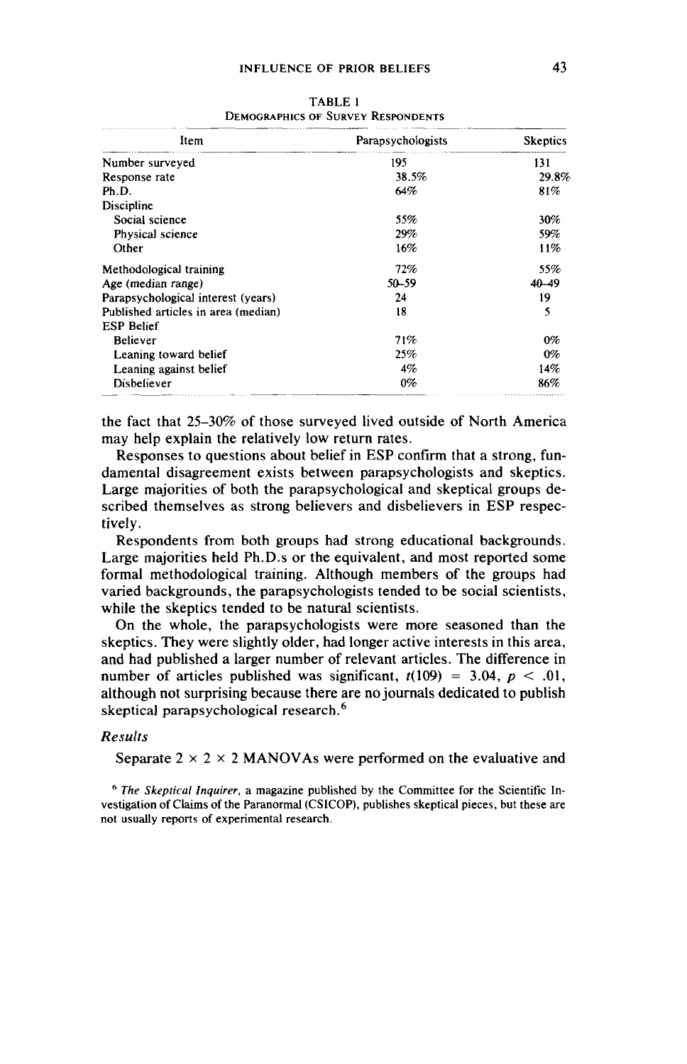| <b>INFLUENCE OF PRIOR BELIEFS</b>                           |                   | 43              |
|-------------------------------------------------------------|-------------------|-----------------|
| <b>TABLE 1</b><br><b>DEMOGRAPHICS OF SURVEY RESPONDENTS</b> |                   |                 |
| Item                                                        | Parapsychologists | <b>Skeptics</b> |
| Number surveyed                                             | 195               | 131             |
| Response rate                                               | 38.5%             | 29.8%           |
| Ph.D.                                                       | 64%               | 81%             |
| Discipline                                                  |                   |                 |
| Social science                                              | 55%               | 30%             |
| Physical science                                            | 29%               | 59%             |
| Other                                                       | 16%               | 11%             |
| Methodological training                                     | 72%               | 55%             |
| Age (median range)                                          | $50 - 59$         | $40 - 49$       |
| Parapsychological interest (years)                          | 24                | 19              |
| Published articles in area (median)                         | 18                | 5               |
| <b>ESP Belief</b>                                           |                   |                 |
| <b>Believer</b>                                             | 71%               | $0\%$           |
| Leaning toward belief                                       | 25%               | $0\%$           |
| Leaning against belief                                      | 4%                | 14%             |
| Disbeliever                                                 | $0\%$             | 86%             |

TABLE 1 DEMOGRAPHICS OF SURVEY RESPONDENTS

the fact that 25-30% of those surveyed lived outside of North America may help explain the relatively low return rates.

Responses to questions about belief in ESP confirm that a strong, fundamental disagreement exists between parapsychologists and skeptics. Large majorities of both the parapsychological and skeptical groups described themselves as strong believers and disbelievers in ESP respectively.

Respondents from both groups had strong educational backgrounds. Large majorities held Ph.D.s or the equivalent, and most reported some formal methodological training. Although members of the groups had varied backgrounds, the parapsychologists tended to be social scientists, while the skeptics tended to be natural scientists.

On the whole, the parapsychologists were more seasoned than the skeptics. They were slightly older, had longer active interests in this area, and had published a larger number of relevant articles. The difference in number of articles published was significant,  $t(109) = 3.04$ ,  $p < .01$ , although not surprising because there are no journals dedicated to publish skeptical parapsychological research.<sup>6</sup>

### Results

Separate  $2 \times 2 \times 2$  MANOVAs were performed on the evaluative and

<sup>6</sup> The Skeptical Inquirer, a magazine published by the Committee for the Scientific Investigation of Claims of the Paranormal (CSICOP), publishes skeptical pieces, but these are not usually reports of experimental research.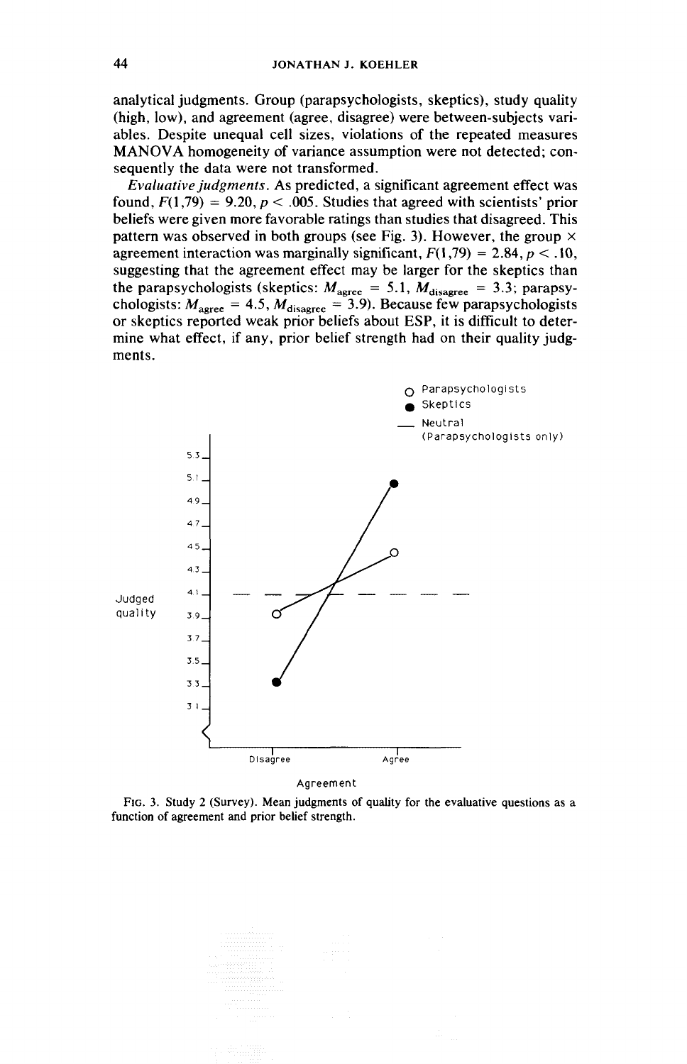analytical judgments. Group (parapsychologists, skeptics), study quality (high, low), and agreement (agree, disagree) were between-subjects variables. Despite unequal cell sizes, violations of the repeated measures MANOVA homogeneity of variance assumption were not detected; consequently the data were not transformed.

Evaluative judgments. As predicted, a significant agreement effect was found,  $F(1,79) = 9.20$ ,  $p < .005$ . Studies that agreed with scientists' prior beliefs were given more favorable ratings than studies that disagreed. This pattern was observed in both groups (see Fig. 3). However, the group  $\times$ agreement interaction was marginally significant,  $F(1,79) = 2.84$ ,  $p < .10$ , suggesting that the agreement effect may be larger for the skeptics than the parapsychologists (skeptics:  $M_{\text{agree}} = 5.1$ ,  $M_{\text{disagree}} = 3.3$ ; parapsychologists:  $M_{\text{agree}} = 4.5$ ,  $M_{\text{disagree}} = 3.9$ ). Because few parapsychologists or skeptics reported weak prior beliefs about ESP, it is difficult to determine what effect, if any, prior belief strength had on their quality judgments.



Fic. 3. Study 2 (Survey). Mean judgments of quality for the evaluative questions as a function of agreement and prior belief strength.

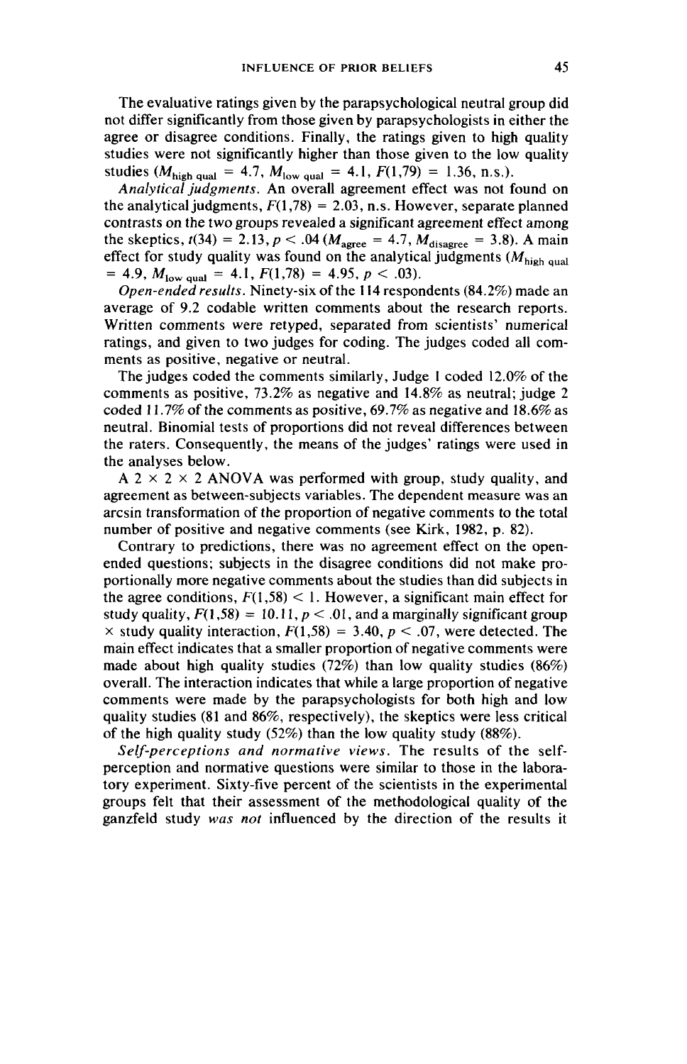The evaluative ratings given by the parapsychological neutral group did not differ significantly from those given by parapsychologists in either the agree or disagree conditions. Finally, the ratings given to high quality studies were not significantly higher than those given to the low quality studies ( $M_{\text{high qual}} = 4.7$ ,  $M_{\text{low qual}} = 4.1$ ,  $F(1,79) = 1.36$ , n.s.).

Analytical judgments. An overall agreement effect was not found on the analytical judgments,  $F(1,78) = 2.03$ , n.s. However, separate planned contrasts on the two groups revealed a significant agreement effect among the skeptics,  $t(34) = 2.13$ ,  $p < .04$  ( $M_{\text{agree}} = 4.7$ ,  $M_{\text{disagree}} = 3.8$ ). A main effect for study quality was found on the analytical judgments  $(M_{\text{high equal}})$  $= 4.9, M<sub>low</sub>$  qual  $= 4.1, F(1,78) = 4.95, p < .03$ .

Open-ended results. Ninety-six of the 114 respondents (84.2%) made an average of 9.2 codable written comments about the research reports. Written comments were retyped, separated from scientists' numerical ratings, and given to two judges for coding. The judges coded all comments as positive, negative or neutral.

The judges coded the comments similarly, Judge 1 coded 12.0% of the comments as positive, 73.2% as negative and 14.8% as neutral; judge 2 coded 11.7% of the comments as positive, 69.7% as negative and 18.6% as neutral. Binomial tests of proportions did not reveal differences between the raters. Consequently, the means of the judges' ratings were used in the analyses below.

A 2  $\times$  2  $\times$  2 ANOVA was performed with group, study quality, and agreement as between-subjects variables. The dependent measure was an arcsin transformation of the proportion of negative comments to the total number of positive and negative comments (see Kirk, 1982, p. 82).

Contrary to predictions, there was no agreement effect on the openended questions; subjects in the disagree conditions did not make proportionally more negative comments about the studies than did subjects in the agree conditions,  $F(1,58) < 1$ . However, a significant main effect for study quality,  $F(1,58) = 10.11$ ,  $p < 0.01$ , and a marginally significant group  $\times$  study quality interaction,  $F(1,58) = 3.40$ ,  $p < .07$ , were detected. The main effect indicates that a smaller proportion of negative comments were made about high quality studies (72%) than low quality studies (86%) overall. The interaction indicates that while a large proportion of negative comments were made by the parapsychologists for both high and low quality studies (81 and 86%, respectively), the skeptics were less critical of the high quality study (52%) than the low quality study (88%).

Self-perceptions and normative views. The results of the selfperception and normative questions were similar to those in the laboratory experiment. Sixty-five percent of the scientists in the experimental groups felt that their assessment of the methodological quality of the ganzfeld study was not influenced by the direction of the results it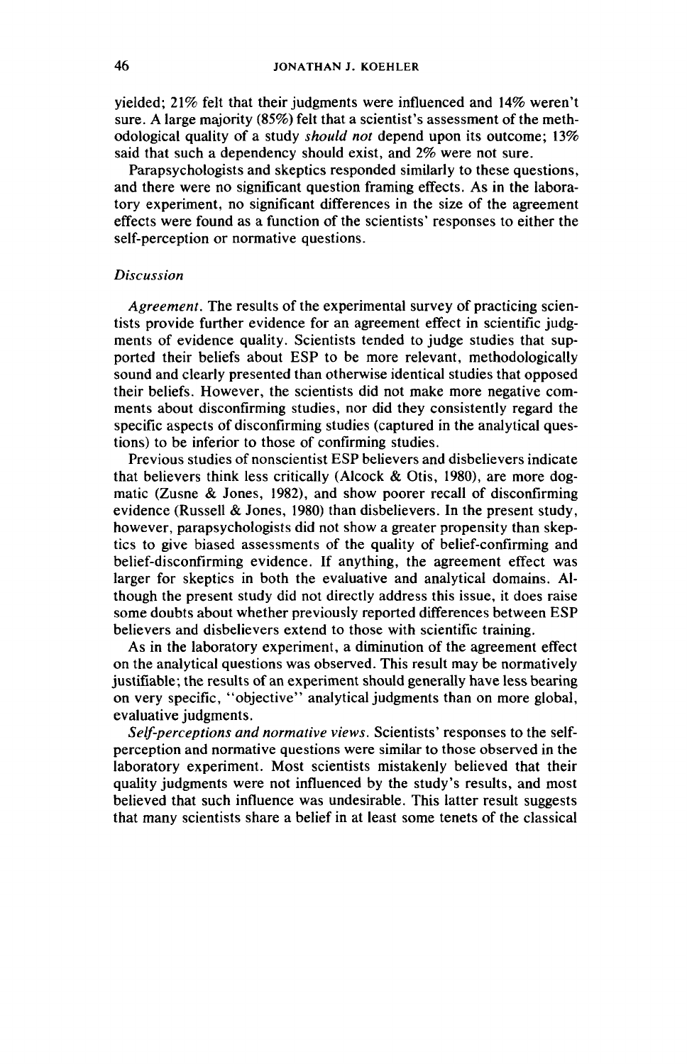yielded; 21% felt that their judgments were influenced and 14% weren't sure. A large majority (85%) felt that a scientist's assessment of the methodological quality of a study should not depend upon its outcome; 13% said that such a dependency should exist, and 2% were not sure.

Parapsychologists and skeptics responded similarly to these questions, and there were no significant question framing effects. As in the laboratory experiment, no significant differences in the size of the agreement effects were found as a function of the scientists' responses to either the self-perception or normative questions.

### Discussion

Agreement. The results of the experimental survey of practicing scientists provide further evidence for an agreement effect in scientific judgments of evidence quality. Scientists tended to judge studies that supported their beliefs about ESP to be more relevant, methodologically sound and clearly presented than otherwise identical studies that opposed their beliefs. However, the scientists did not make more negative comments about disconfirming studies, nor did they consistently regard the specific aspects of disconfirming studies (captured in the analytical questions) to be inferior to those of confirming studies.

Previous studies of nonscientist ESP believers and disbelievers indicate that believers think less critically (Alcock & Otis, 1980), are more dogmatic (Zusne & Jones, 1982), and show poorer recall of disconfirming evidence (Russell & Jones, 1980) than disbelievers. In the present study, however, parapsychologists did not show a greater propensity than skeptics to give biased assessments of the quality of belief-confirming and belief-disconfirming evidence. If anything, the agreement effect was larger for skeptics in both the evaluative and analytical domains. Although the present study did not directly address this issue, it does raise some doubts about whether previously reported differences between ESP believers and disbelievers extend to those with scientific training.

As in the laboratory experiment, a diminution of the agreement effect on the analytical questions was observed. This result may be normatively justifiable; the results of an experiment should generally have less bearing on very specific, ''objective'' analytical judgments than on more global, evaluative judgments.

Self-perceptions and normative views. Scientists' responses to the selfperception and normative questions were similar to those observed in the laboratory experiment. Most scientists mistakenly believed that their quality judgments were not influenced by the study's results, and most believed that such influence was undesirable. This latter result suggests that many scientists share a belief in at least some tenets of the classical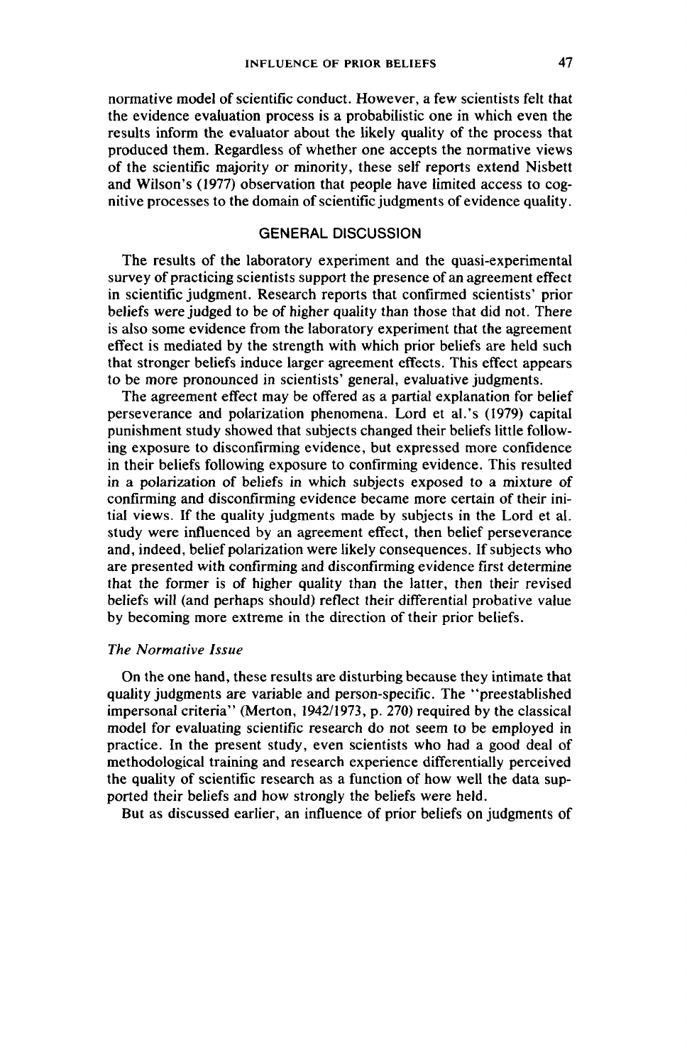normative model of scientific conduct. However, a few scientists felt that the evidence evaluation process is a probabilistic one in which even the results inform the evaluator about the likely quality of the process that produced them. Regardless of whether one accepts the normative views of the scientific majority or minority, these self reports extend Nisbett and Wilson's (1977) observation that people have limited access to cognitive processes to the domain of scientific judgments of evidence quality.

# GENERAL DISCUSSION

The results of the laboratory experiment and the quasi-experimental survey of practicing scientists support the presence of an agreement effect in scientific judgment. Research reports that confirmed scientists' prior beliefs were judged to be of higher quality than those that did not. There is also some evidence from the laboratory experiment that the agreement effect is mediated by the strength with which prior beliefs are held such that stronger beliefs induce larger agreement effects. This effect appears to be more pronounced in scientists' general, evaluative judgments.

The agreement effect may be offered as a partial explanation for belief perseverance and polarization phenomena. Lord et al.'s (1979) capital punishment study showed that subjects changed their beliefs little following exposure to disconfirming evidence, but expressed more confidence in their beliefs following exposure to confirming evidence. This resulted in a polarization of beliefs in which subjects exposed to a mixture of confirming and disconfirming evidence became more certain of their initial views. If the quality judgments made by subjects in the Lord et al. study were influenced by an agreement effect, then belief perseverance and, indeed, belief polarization were likely consequences. If subjects who are presented with confirming and disconfirming evidence first determine that the former is of higher quality than the latter, then their revised beliefs will (and perhaps should) reflect their differential probative value by becoming more extreme in the direction of their prior beliefs.

## The Normative Issue

On the one hand, these results are disturbing because they intimate that quality judgments are variable and person-specific. The ''preestablished impersonal criteria'' (Merton, 1942/1973, p. 270) required by the classical model for evaluating scientific research do not seem to be employed in practice. In the present study, even scientists who had a good deal of methodological training and research experience differentially perceived the quality of scientific research as a function of how well the data supported their beliefs and how strongly the beliefs were held.

But as discussed earlier, an influence of prior beliefs on judgments of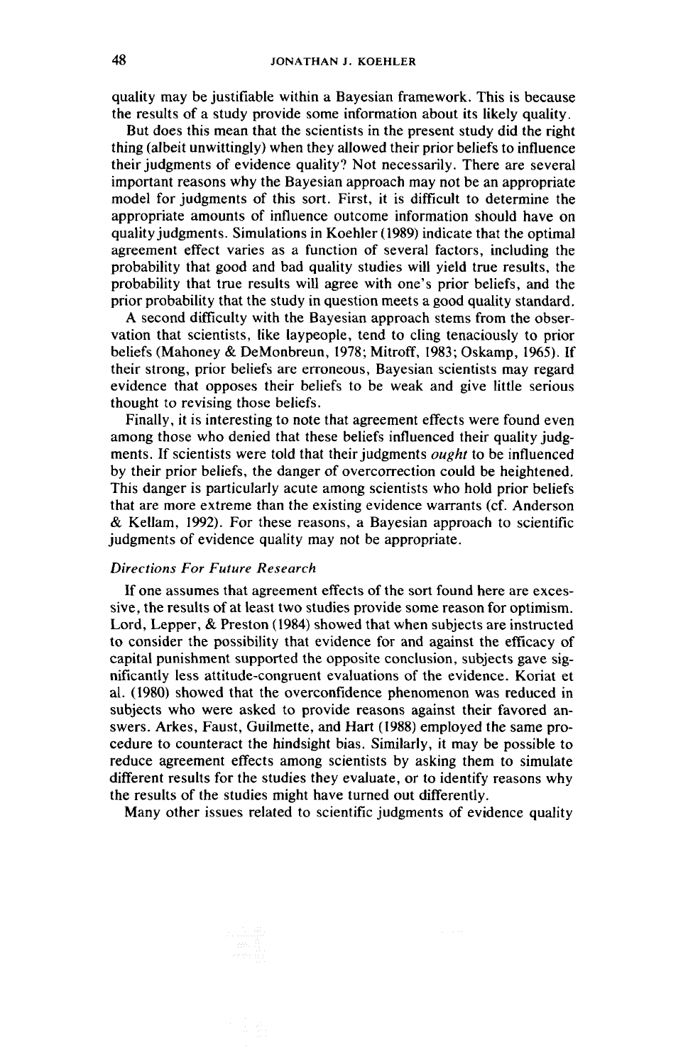quality may be justifiable within a Bayesian framework. This is because the results of a study provide some information about its likely quality.

But does this mean that the scientists in the present study did the right thing (albeit unwittingly) when they allowed their prior beliefs to influence their judgments of evidence quality? Not necessarily. There are several important reasons why the Bayesian approach may not be an appropriate model for judgments of this sort. First, it is difficult to determine the appropriate amounts of influence outcome information should have on quality judgments. Simulations in Koehler (1989) indicate that the optimal agreement effect varies as a function of several factors, including the probability that good and bad quality studies will yield true results, the probability that true results will agree with one's prior beliefs, and the prior probability that the study in question meets a good quality standard.

A second difficulty with the Bayesian approach stems from the observation that scientists, like laypeople, tend to cling tenaciously to prior beliefs (Mahoney & DeMonbreun, 1978; Mitroff, 1983; Oskamp, 1965). If their strong, prior beliefs are erroneous, Bayesian scientists may regard evidence that opposes their beliefs to be weak and give little serious thought to revising those beliefs.

Finally, it is interesting to note that agreement effects were found even among those who denied that these beliefs influenced their quality judgments. If scientists were told that their judgments ought to be influenced by their prior beliefs, the danger of overcorrection could be heightened. This danger is particularly acute among scientists who hold prior beliefs that are more extreme than the existing evidence warrants (cf. Anderson & Kellam, 1992). For these reasons, a Bayesian approach to scientific judgments of evidence quality may not be appropriate.

### Directions For Future Research

If one assumes that agreement effects of the sort found here are excessive, the results of at least two studies provide some reason for optimism. Lord, Lepper, & Preston (1984) showed that when subjects are instructed to consider the possibility that evidence for and against the efficacy of capital punishment supported the opposite conclusion, subjects gave significantly less attitude-congruent evaluations of the evidence. Koriat et al. (1980) showed that the overconfidence phenomenon was reduced in subjects who were asked to provide reasons against their favored answers. Arkes, Faust, Guilmette, and Hart (1988) employed the same procedure to counteract the hindsight bias. Similarly, it may be possible to reduce agreement effects among scientists by asking them to simulate different results for the studies they evaluate, or to identify reasons why the results of the studies might have turned out differently.

Many other issues related to scientific judgments of evidence quality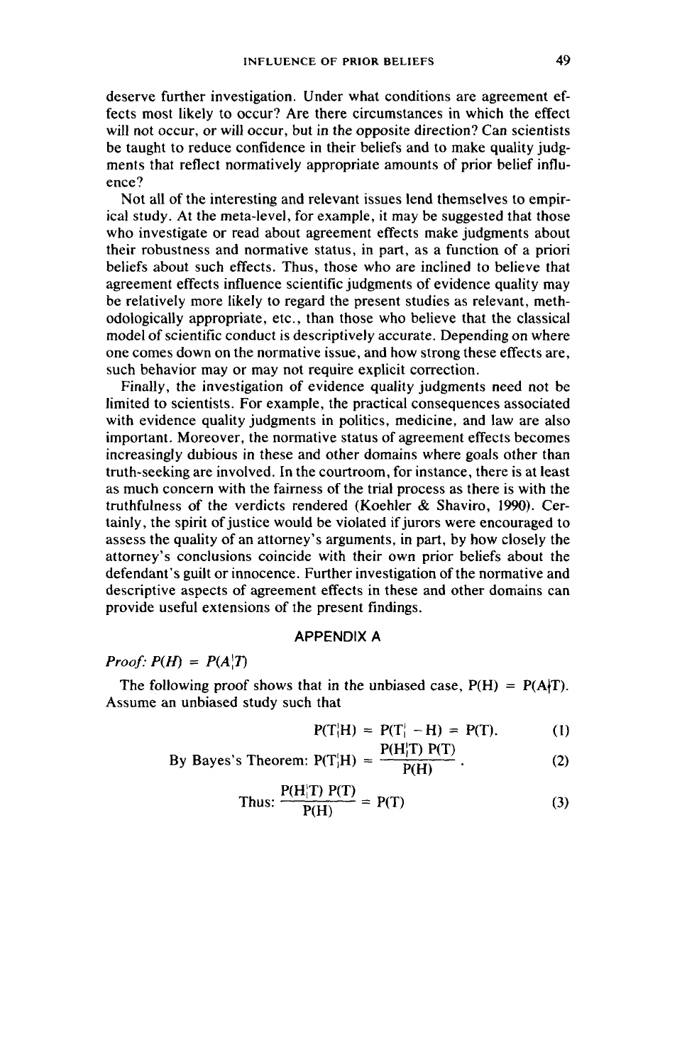deserve further investigation. Under what conditions are agreement effects most likely to occur? Are there circumstances in which the effect will not occur, or will occur, but in the opposite direction? Can scientists be taught to reduce confidence in their beliefs and to make quality judgments that reflect normatively appropriate amounts of prior belief influence?

Not all of the interesting and relevant issues lend themselves to empirical study. At the meta-level, for example, it may be suggested that those who investigate or read about agreement effects make judgments about their robustness and normative status, in part, as a function of a priori beliefs about such effects. Thus, those who are inclined to believe that agreement effects influence scientific judgments of evidence quality may be relatively more likely to regard the present studies as relevant, methodologically appropriate, etc., than those who believe that the classical model of scientific conduct is descriptively accurate. Depending on where one comes down on the normative issue, and how strong these effects are, such behavior may or may not require explicit correction.

Finally, the investigation of evidence quality judgments need not be limited to scientists. For example, the practical consequences associated with evidence quality judgments in politics, medicine, and law are also important. Moreover, the normative status of agreement effects becomes increasingly dubious in these and other domains where goals other than truth-seeking are involved. In the courtroom, for instance, there is at least as much concern with the fairness of the trial process as there is with the truthfulness of the verdicts rendered (Koehler & Shaviro, 1990). Certainly, the spirit of justice would be violated if jurors were encouraged to assess the quality of an attorney's arguments, in part, by how closely the attorney's conclusions coincide with their own prior beliefs about the defendant's guilt or innocence. Further investigation of the normative and descriptive aspects of agreement effects in these and other domains can provide useful extensions of the present findings.

## APPENDIX A

# Proof:  $P(H) = P(A|T)$

The following proof shows that in the unbiased case,  $P(H) = P(A|T)$ . Assume an unbiased study such that

$$
P(T|H) = P(T_1^{\prime} - H) = P(T). \tag{1}
$$

By Bayes's Theorem: 
$$
P(T|H) = \frac{P(H|T) P(T)}{P(H)}
$$
. (2)

Thus: 
$$
\frac{P(H|T) P(T)}{P(H)} = P(T)
$$
 (3)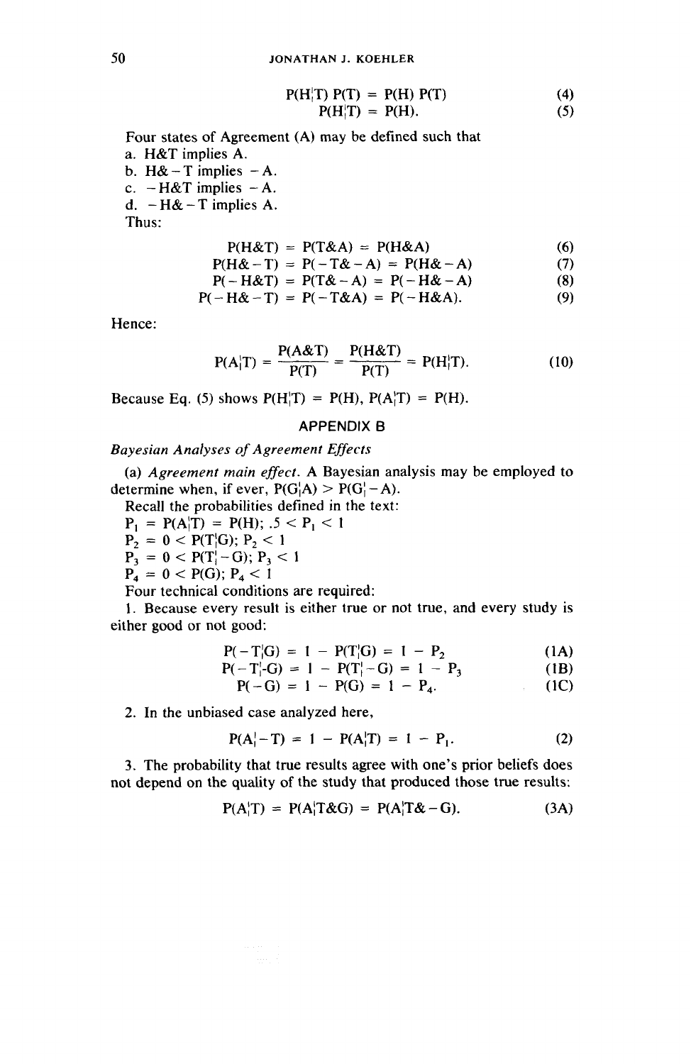$$
P(HitT) P(T) = P(H) P(T)
$$
\n(4)  
\n
$$
P(HitT) = P(H).
$$
\n(5)

$$
P(H_1^{\prime} \Gamma) = P(H). \tag{5}
$$

Four states of Agreement (A) may be defined such that a. H&T implies A.

b. H& - T implies  $-A$ . c.  $-H&T$  implies  $-A$ . d.  $-H&$  - T implies A.

Thus:

$$
P(H\& T) = P(T\& A) = P(H\& A) \tag{6}
$$

$$
P(H&T) = P(T&A) = P(H&A) \tag{6}
$$
\n
$$
P(H&-T) = P(-T&-A) = P(H&-A) \tag{7}
$$
\n
$$
P(H&+T) = P(T&-A) = P(-H&-A) \tag{8}
$$

$$
P(-H\alpha I) = P(1\alpha - A) = P(-H\alpha - A)
$$
(6)  

$$
P(-H\alpha - T) = P(-T\alpha A) = P(-H\alpha A).
$$
(9)

$$
P(-H\alpha - 1) = P(-1\alpha A) = P(-H\alpha A). \tag{9}
$$

Hence:

$$
P(A|T) = \frac{P(A\&T)}{P(T)} = \frac{P(H\&T)}{P(T)} = P(H|T).
$$
 (10)

Because Eq. (5) shows  $P(H|T) = P(H)$ ,  $P(A|T) = P(H)$ .

# APPENDIX B

## Bayesian Analyses of Agreement Effects

(a) Agreement main effect. A Bayesian analysis may be employed to determine when, if ever,  $P(G|A) > P(G|-A)$ .

Recall the probabilities defined in the text:

 $P_1 = P(A|T) = P(H); 0.5 < P_1 < 1$ <br>  $P_2 = 0 < P(T|G); P_2 < 1$ <br>  $P_3 = 0 < P(T| - G); P_3 < 1$ 

$$
P_2 = 0 < P(T|G); P_2 < 1
$$

$$
P_4 = 0 < P(G); P_4 < 1
$$

Four technical conditions are required:

1. Because every result is either true or not true, and every study is either good or not good:

$$
P(-T|G) = 1 - P(T|G) = 1 - P_2 \tag{1A}
$$

$$
P(-T_1 - G) = 1 - P(T_1 - G) = 1 - P_3 \tag{1B}
$$

$$
P(-G) = 1 - P(G) = 1 - P_4. \tag{1C}
$$

2. In the unbiased case analyzed here,

$$
P(A_1^1 - T) = 1 - P(A_1^1T) = 1 - P_1.
$$
 (2)

3. The probability that true results agree with one's prior beliefs does not depend on the quality of the study that produced those true results:

$$
P(A|T) = P(A|T\&G) = P(A|T\&G) \tag{3A}
$$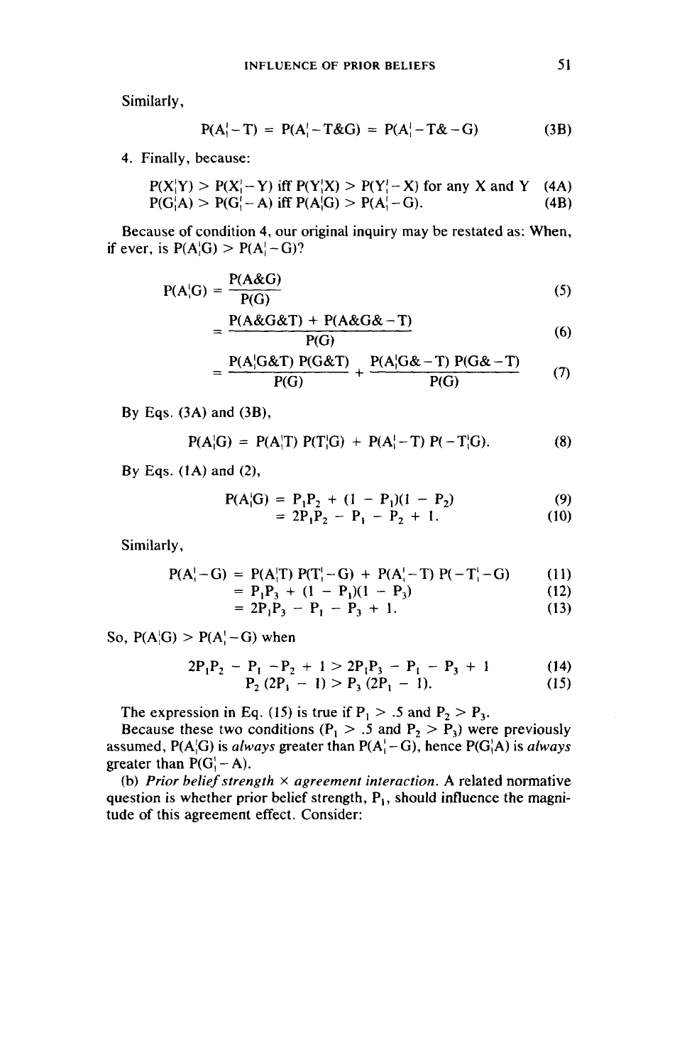Similarly,

$$
P(A11 - T) = P(A11 - T&G) = P(A11 - T&G - G)
$$
 (3B)

4. Finally, because:

$$
P(X|Y) > P(X|-Y) \text{ iff } P(Y|X) > P(Y|-X) \text{ for any } X \text{ and } Y \quad (4A)
$$
  
 
$$
P(G|A) > P(G|-A) \text{ iff } P(A|G) > P(A|-G). \tag{4B}
$$

Because of condition 4, our original inquiry may be restated as: When, if ever, is  $P(A|G) > P(A|-G)?$ <br> $P(A|G) = \frac{P(A \& G)}{P(A \& G)}$ 

$$
P(A_1'-T) = P(A_1'-T\&G) = P(A_1'-T\&-G) \tag{3B}
$$
\n
$$
P(A_1'-T) = P(A_1'-T\&G) = P(A_1'-T\&-G) \tag{3B}
$$
\n
$$
(X_1'Y) > P(X_1'-Y) \text{ iff } P(Y_1'X) > P(Y_1'-X) \text{ for any } X \text{ and } Y \text{ (4A)}
$$
\n
$$
(G_1'A) > P(G_1'-A) \text{ iff } P(A_1'G) > P(A_1'-G). \tag{4B}
$$
\n
$$
P(A_1'G) > P(A_1'-G)? \tag{5}
$$
\n
$$
P(A_1'G) = \frac{P(A\&G)}{P(G)} \tag{5}
$$
\n
$$
= \frac{P(A\&G\&T) + P(A\&G\&-T)}{P(G)} \tag{6}
$$
\n
$$
= \frac{P(A_1'G\&T)P(G\&T)}{P(G)} \tag{7}
$$

$$
= \frac{P(A\&G\&T) + P(A\&G\&-T)}{P(G)}
$$
(6)

$$
= \frac{P(A|G&T) P(G&T)}{P(G)} + \frac{P(A|G&-T) P(G&-T)}{P(G)} \tag{7}
$$

By Eqs. (3A) and (3B),

$$
P(A|G) = P(A|T) P(T|G) + P(A|-T) P(-T|G).
$$
 (8)

By Eqs. (1A) and (2),

$$
P(A|G) = P_1 P_2 + (1 - P_1)(1 - P_2)
$$
 (9)

$$
= 2P_1P_2 - P_1 - P_2 + 1. \tag{10}
$$

Similarly,

$$
P(A_i^{\dagger} - G) = P(A_i^{\dagger} T) P(T_i^{\dagger} - G) + P(A_i^{\dagger} - T) P(-T_i^{\dagger} - G) \tag{11}
$$

$$
= P_1 P_3 + (1 - P_1)(1 - P_3)
$$
  
= 2P\_1 P\_2 - P\_3 - P\_4 + 1 (13)

$$
= 2P_1P_3 - P_1 - P_3 + 1. \tag{13}
$$

So,  $P(A|G) > P(A|-G)$  when

$$
2P_1P_2 - P_1 - P_2 + 1 > 2P_1P_3 - P_1 - P_3 + 1
$$
  
\n
$$
P_2 (2P_1 - 1) > P_3 (2P_1 - 1).
$$
 (15)

The expression in Eq. (15) is true if  $P_1 > .5$  and  $P_2 > P_3$ .

Because these two conditions ( $P_1 > .5$  and  $P_2 > P_3$ ) were previously assumed, P(A $\langle G \rangle$ ) is always greater than P(A $\langle -G \rangle$ , hence P(G $\langle A \rangle$ ) is always greater than  $P(G_i - A)$ .

(b) Prior belief strength  $\times$  agreement interaction. A related normative question is whether prior belief strength,  $P_1$ , should influence the magnitude of this agreement effect. Consider: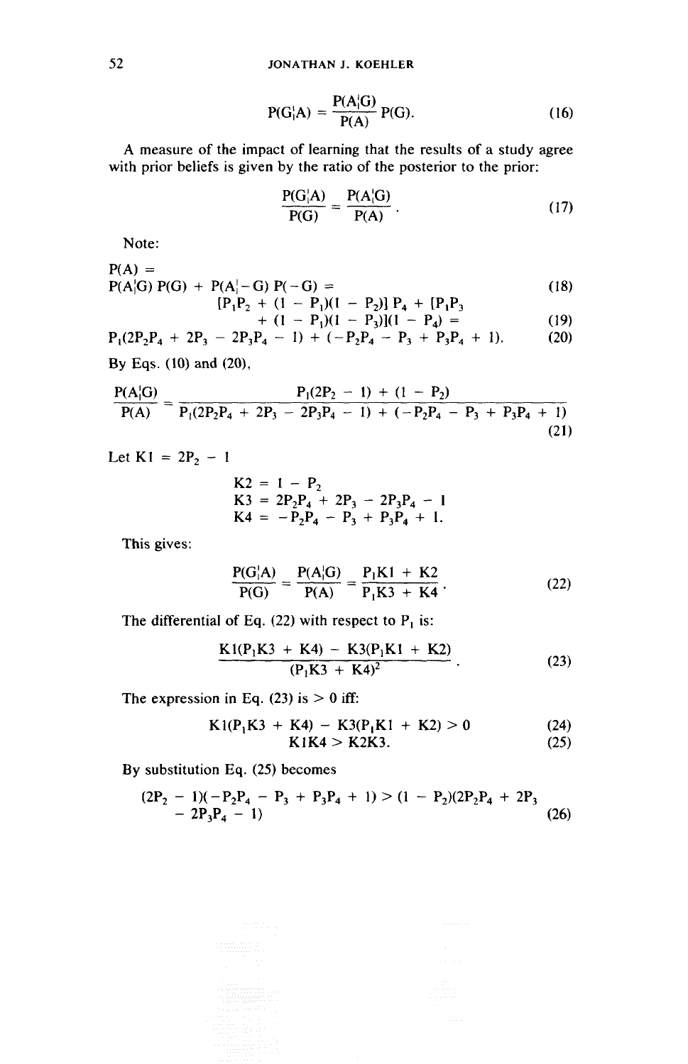$$
P(G1iA) = \frac{P(A1iG)}{P(A)} P(G).
$$
 (16)

A measure of the impact of learning that the results of a study agree with prior beliefs is given by the ratio of the posterior to the prior:<br> $P(G|A) = P(A|G)$ 

$$
\frac{P(G|A)}{P(G)} = \frac{P(A|G)}{P(A)}.
$$
 (17)

Note:

52 **JONATHAN J. KOEHLER**  
\n
$$
P(G|A) = \frac{P(A|G)}{P(A)} P(G). \qquad (16)
$$
\nA measure of the impact of learning that the results of a study agree with prior beliefs is given by the ratio of the posterior to the prior:  
\n
$$
\frac{P(G|A)}{P(G)} = \frac{P(A|G)}{P(A)}.
$$
\n
$$
P(A) = P(A|G) P(G) + P(A|-G) P(-G) =
$$
\n
$$
P(A|G) P(G) + P(A|-G) P(-G) =
$$
\n
$$
P(P(A|G) - P(A|-G) P(-G)) =
$$
\n
$$
P(P(A|G) - P(A|-G) P(-G)) =
$$
\n
$$
P(P(A|G) - P(A|G)) =
$$
\n
$$
P(P(A|G)) =
$$
\n
$$
P(P(A|G)) =
$$
\n
$$
P(P(A|G)) =
$$
\n
$$
P(P(A|G)) =
$$
\n
$$
P(P(A|G)) =
$$
\n
$$
P(P(A|G)) =
$$
\n
$$
P(P(A|G)) =
$$
\n
$$
P(P(A|G)) =
$$
\n
$$
P(P(A|G)) =
$$
\n
$$
P(P(A|G)) =
$$
\n
$$
P(P(A|G)) =
$$
\n
$$
P(P(A|G)) =
$$
\n
$$
P(P(A|G)) =
$$
\n
$$
P(P(A|G)) =
$$
\n
$$
P(P(A|G)) =
$$
\n
$$
P(P(A|G)) =
$$
\n
$$
P(P(A|G)) =
$$
\n
$$
P(P(A|G)) =
$$
\n
$$
P(P(A|G)) =
$$
\n
$$
P(P(A|G)) =
$$
\n
$$
P(P(A|G)) =
$$
\n
$$
P(P(A|G)) =
$$
\n
$$
P(P(A|G)) =
$$
\n
$$
P(P(A|G)) =
$$
\n
$$
P(P(A|G)) =
$$
\n
$$
P(P(A|G)) =
$$
\n
$$
P(P(A|G)) =
$$
\n
$$
P(P(A|G)) =
$$
\n
$$
P(P(A|G)) =
$$
\n
$$
P(P(A|
$$

$$
\begin{array}{l} \n[P_1P_2 + (1 - P_1)(1 - P_2)] \ P_4 + [P_1P_3] \\
\quad + (1 - P_1)(1 - P_3)](1 - P_4) = \n\end{array} \n\tag{19}
$$

$$
P_1(2P_2P_4 + 2P_3 - 2P_3P_4 - 1) + (-P_2P_4 - P_3 + P_3P_4 + 1). \tag{20}
$$

By Eqs. (10) and (20),

$$
\frac{P(A|G)}{P(A)} = \frac{P_1(2P_2 - 1) + (1 - P_2)}{P_1(2P_2P_4 + 2P_3 - 2P_3P_4 - 1) + (-P_2P_4 - P_3 + P_3P_4 + 1)}
$$
\nLet K1 = 2P<sub>2</sub> - 1  
\nK2 = 1 - P<sub>2</sub>  
\nK3 = 2P<sub>2</sub>P<sub>4</sub> + 2P<sub>3</sub> - 2P<sub>3</sub>P<sub>4</sub> - 1  
\nK4 = -P<sub>2</sub>P<sub>4</sub> - P<sub>3</sub> + P<sub>3</sub>P<sub>4</sub> + 1.  
\nThis gives:  
\n
$$
\frac{P(G|A)}{P(G|A)} = \frac{P(A|G)}{P(B|G)} = \frac{P_1K1 + K2}{P_2}
$$
\n(22)

Let  $K1 = 2P_2 - 1$ 

1  
\n
$$
K2 = 1 - P_2
$$
\n
$$
K3 = 2P_2P_4 + 2P_3 - 2P_3P_4 - 1
$$
\n
$$
K4 = -P_2P_4 - P_3 + P_3P_4 + 1.
$$
\n
$$
\frac{P(G|A)}{P(G)} = \frac{P(A|G)}{P(A)} = \frac{P_1K1 + K2}{P_1K3 + K4}.
$$
\n1 of Eq. (22) with respect to  $P_1$  is:  
\n
$$
K1(P_1K3 + K4) - K3(P_1K1 + K2)
$$

This gives:

$$
\frac{P(G|A)}{P(G)} = \frac{P(A|G)}{P(A)} = \frac{P_1K1 + K2}{P_1K3 + K4}.
$$
 (22)

The differential of Eq.  $(22)$  with respect to P, is:

$$
\frac{K1(P_1K3 + K4) - K3(P_1K1 + K2)}{(P_1K3 + K4)^2}
$$
 (23)

The expression in Eq. (23) is  $> 0$  iff:

$$
K1(P_1K3 + K4) - K3(P_1K1 + K2) > 0
$$
 (24)

$$
K1K4 > K2K3. \tag{25}
$$

By substitution Eq. (25) becomes

$$
(2P2 - 1)(-P2P4 - P3 + P3P4 + 1) > (1 - P2)(2P2P4 + 2P3 - 2P3P4 - 1)
$$
 (26)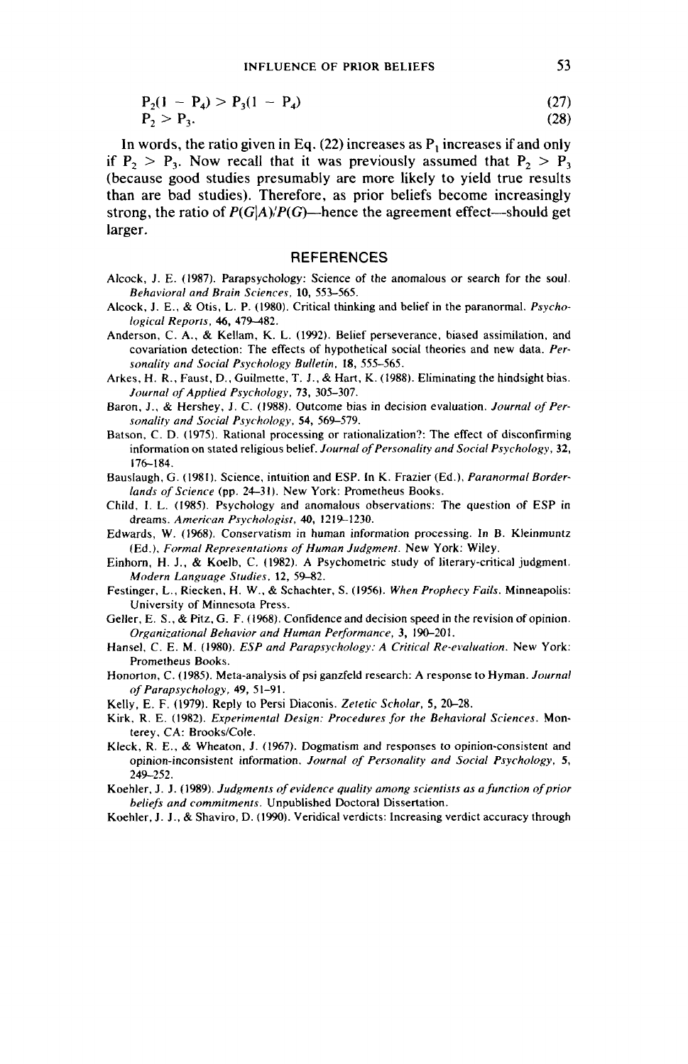$$
P_2(1 - P_4) > P_3(1 - P_4)
$$
\n
$$
P_2 > P_3.
$$
\n(27)

In words, the ratio given in Eq.  $(22)$  increases as  $P_1$  increases if and only if  $P_2 > P_3$ . Now recall that it was previously assumed that  $P_2 > P_3$ (because good studies presumably are more likely to yield true results than are bad studies). Therefore, as prior beliefs become increasingly strong, the ratio of  $P(G|A)/P(G)$ —hence the agreement effect—should get larger.

### **REFERENCES**

- Alcock, J. E. (1987). Parapsychology: Science of the anomalous or search for the soul. Behavioral and Brain Sciences, 10, 553-565.
- Alcock, J. E., & Otis, L. P. (1980). Critical thinking and belief in the paranormal. Psychological Reports, 46, 479-482.
- Anderson, C. A., & Kellam, K. L. (1992). Belief perseverance, biased assimilation, and covariation detection: The effects of hypothetical social theories and new data. Personality and Social Psychology Bulletin, 18, 555-565.
- Arkes, H. R., Faust, D., Guilmette, T. J., & Hart, K. (1988). Eliminating the hindsight bias. Journal of Applied Psychology, 73, 305-307.
- Baron, J., & Hershey, J. C. (1988). Outcome bias in decision evaluation. Journal of Personality and Social Psychology, 54, 569-579.
- Batson, C. D. (1975). Rational processing or rationalization?: The effect of disconfirming information on stated religious belief. Journal of Personality and Social Psychology, 32, 176-184.
- Bauslaugh, G. (1981). Science, intuition and ESP. In K. Frazier (Ed.), Paranormal Borderlands of Science (pp. 24-31). New York: Prometheus Books.
- Child, I. L. (1985). Psychology and anomalous observations: The question of ESP in dreams. American Psychologist, 40, 1219-1230.
- Edwards, W. (1968). Conservatism in human information processing. In B. Kjeinmuntz (Ed.), Formal Representations of Human Judgment. New York: Wiley.
- Einhorn, H. J., & Koelb, C. (1982). A Psychometric study of literary-critica) judgment. Modern Language Studies, 12, 59-82.
- Festinger, L., Riecken, H. W., & Schachter, S. (1956). When Prophecy Fails. Minneapolis: University of Minnesota Press.
- Geller, E. S., & Pitz, G. F. (1968). Confidence and decision speed in the revision of opinion. Organizational Behavior and Human Performance, 3, 190-201.
- Hansel, C. E. M. (1980). ESP and Parapsychology: A Critical Re-evaluation. New York: Prometheus Books.
- Honorton, C. (1985). Meta-analysis of psi ganzfeld research: A response to Hyman. Journal of Parapsychology, 49, S\-91.
- Kelly, E. F. (1979). Reply to Persi Diaconis. Zetetic Scholar, 5, 20-28.
- Kirk, R. E. (1982). Experimental Design: Procedures for the Behavioral Sciences. Monterey, CA: Brooks/Cole.
- Kleck, R. E., & Wheaton, J. (1967). Dogmatism and responses to opinion-consistent and opinion-inconsistent information. Journal of Personality and Social Psychology, 5, 249-252.
- Koehler, J. J. (1989). Judgments of evidence quality among scientists as a function of prior beliefs and commitments. Unpublished Doctoral Dissertation.
- Koehler, J. J., & Shaviro, D. (1990). Veridical verdicts: Increasing verdict accuracy through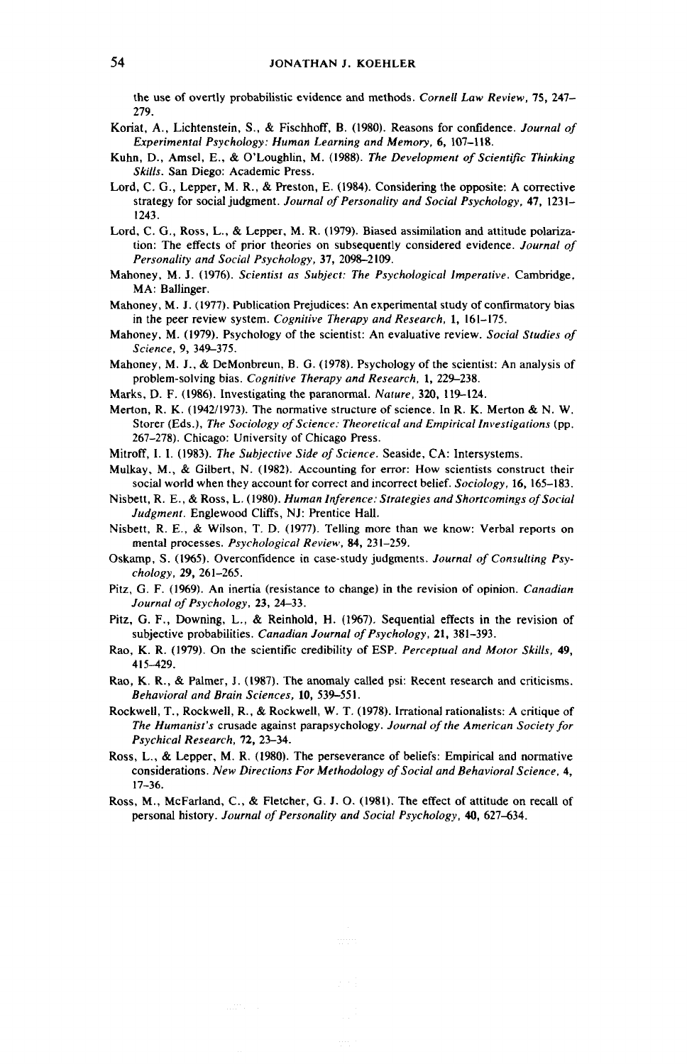the use of overtly probabilistic evidence and methods. Cornell Law Review, 75, 247— 279.

- Koriat, A., Lichtenstein, S., & Fischhoff, B. (1980). Reasons for confidence. Journal of Experimental Psychology: Human Learning and Memory, 6, 107-118.
- Kuhn, D., Amsel, E., & O'Loughlin, M. (1988). The Development of Scientific Thinking Skills. San Diego: Academic Press.
- Lord, C. G., Lepper, M. R., & Preston, E. (1984). Considering the opposite: A corrective strategy for social judgment. Journal of Personality and Social Psychology, 47, 1231- 1243.
- Lord, C. G., Ross, L., & Lepper, M. R. (1979). Biased assimilation and attitude polarization: The effects of prior theories on subsequently considered evidence. Journal of Personality and Social Psychology, 37, 2098-2109.
- Mahoney, M. J. (1976). Scientist as Subject: The Psychological Imperative. Cambridge, MA: Ballinger.
- Mahoney, M. J. (1977). Publication Prejudices: An experimental study of confirmatory bias in the peer review system. Cognitive Therapy and Research, 1, 161-175.
- Mahoney, M. (1979). Psychology of the scientist: An evaluative review. Social Studies of Science, 9, 349-375.
- Mahoney, M. J., & DeMonbreun, B. G. (1978). Psychology of the scientist: An analysis of problem-solving bias. Cognitive Therapy and Research, 1, 229-238.
- Marks, D. F. (1986). Investigating the paranormal. Nature, 320, 119-124.
- Merton, R. K. (1942/1973). The normative structure of science. In R. K. Merton & N. W. Storer (Eds.), The Sociology of Science: Theoretical and Empirical Investigations (pp. 267-278). Chicago: University of Chicago Press.
- Mitroff, I. I. (1983). The Subjective Side of Science. Seaside, CA: Intersystems.
- Mulkay, M., & Gilbert, N. (1982). Accounting for error: How scientists construct their social world when they account for correct and incorrect belief. Sociology, 16, 165-183.
- Nisbett, R. E., & Ross, L. (1980). Human Inference: Strategies and Shortcomings of Social Judgment. Englewood Cliffs, NJ: Prentice Hall.
- Nisbett, R. E., & Wilson, T. D. (1977). Telling more than we know: Verbal reports on mental processes. Psychological Review, 84, 231-259.
- Oskamp, S. (1965). Overconfidence in case-study judgments. Journal of Consulting Psychology, 29, 261-265.
- Pitz, G. F. (1969). An inertia (resistance to change) in the revision of opinion. Canadian Journal of Psychology, 23, 24-33.
- Pitz, G. F., Downing, L., & Reinhold, H. (1967). Sequential effects in the revision of subjective probabilities. Canadian Journal of Psychology, 21, 381-393.
- Rao, K. R. (1979). On the scientific credibility of ESP. Perceptual and Motor Skills, 49, 415-429.
- Rao, K. R., & Palmer, J. (1987). The anomaly called psi: Recent research and criticisms. Behavioral and Brain Sciences, 10, 539-551.
- Rockwell, T., Rockwell, R., & Rockwell, W. T. (1978). Irrational rationalists: A critique of The Humanist's crusade against parapsychology. Journal of the American Society for Psychical Research, 72, 23-34.
- Ross, L., & Lepper, M. R. (1980). The perseverance of beliefs: Empirical and normative considerations. New Directions For Methodology of Social and Behavioral Science, 4, 17-36.
- Ross, M., McFarland, C., & Fletcher, G. J. O. (1981). The effect of attitude on recall of personal history. Journal of Personality and Social Psychology, 40, 627-634.